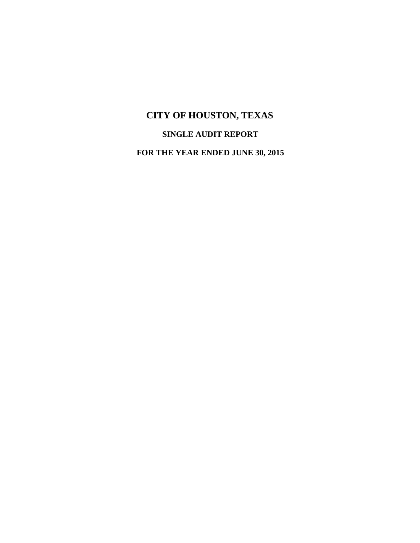# **SINGLE AUDIT REPORT**

**FOR THE YEAR ENDED JUNE 30, 2015**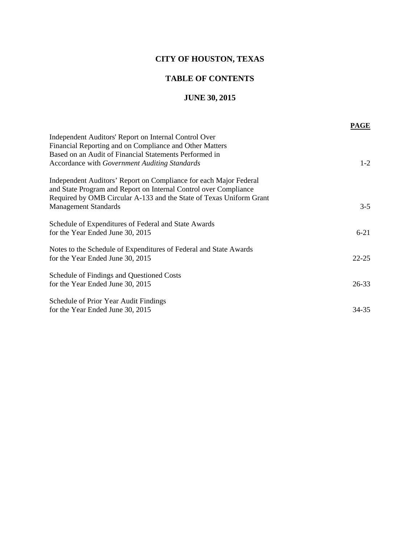### **TABLE OF CONTENTS**

### **JUNE 30, 2015**

|                                                                     | <b>PAGE</b> |
|---------------------------------------------------------------------|-------------|
| Independent Auditors' Report on Internal Control Over               |             |
| Financial Reporting and on Compliance and Other Matters             |             |
| Based on an Audit of Financial Statements Performed in              |             |
| Accordance with Government Auditing Standards                       | $1-2$       |
| Independent Auditors' Report on Compliance for each Major Federal   |             |
| and State Program and Report on Internal Control over Compliance    |             |
| Required by OMB Circular A-133 and the State of Texas Uniform Grant |             |
| <b>Management Standards</b>                                         | $3 - 5$     |
|                                                                     |             |
| Schedule of Expenditures of Federal and State Awards                |             |
| for the Year Ended June 30, 2015                                    | $6 - 21$    |
|                                                                     |             |
| Notes to the Schedule of Expenditures of Federal and State Awards   |             |
| for the Year Ended June 30, 2015                                    | $22 - 25$   |
| Schedule of Findings and Questioned Costs                           |             |
| for the Year Ended June 30, 2015                                    | $26 - 33$   |
|                                                                     |             |
| Schedule of Prior Year Audit Findings                               |             |
| for the Year Ended June 30, 2015                                    | 34-35       |
|                                                                     |             |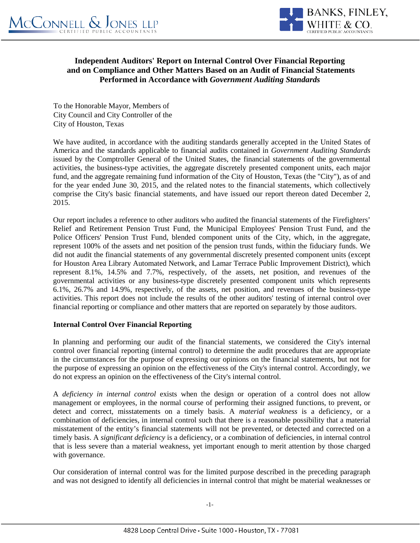

### **Independent Auditors' Report on Internal Control Over Financial Reporting and on Compliance and Other Matters Based on an Audit of Financial Statements Performed in Accordance with** *Government Auditing Standards*

To the Honorable Mayor, Members of City Council and City Controller of the City of Houston, Texas

We have audited, in accordance with the auditing standards generally accepted in the United States of America and the standards applicable to financial audits contained in *Government Auditing Standards* issued by the Comptroller General of the United States, the financial statements of the governmental activities, the business-type activities, the aggregate discretely presented component units, each major fund, and the aggregate remaining fund information of the City of Houston, Texas (the "City"), as of and for the year ended June 30, 2015, and the related notes to the financial statements, which collectively comprise the City's basic financial statements, and have issued our report thereon dated December 2, 2015.

Our report includes a reference to other auditors who audited the financial statements of the Firefighters' Relief and Retirement Pension Trust Fund, the Municipal Employees' Pension Trust Fund, and the Police Officers' Pension Trust Fund, blended component units of the City, which, in the aggregate, represent 100% of the assets and net position of the pension trust funds, within the fiduciary funds. We did not audit the financial statements of any governmental discretely presented component units (except for Houston Area Library Automated Network, and Lamar Terrace Public Improvement District), which represent 8.1%, 14.5% and 7.7%, respectively, of the assets, net position, and revenues of the governmental activities or any business-type discretely presented component units which represents 6.1%, 26.7% and 14.9%, respectively, of the assets, net position, and revenues of the business-type activities. This report does not include the results of the other auditors' testing of internal control over financial reporting or compliance and other matters that are reported on separately by those auditors.

### **Internal Control Over Financial Reporting**

In planning and performing our audit of the financial statements, we considered the City's internal control over financial reporting (internal control) to determine the audit procedures that are appropriate in the circumstances for the purpose of expressing our opinions on the financial statements, but not for the purpose of expressing an opinion on the effectiveness of the City's internal control. Accordingly, we do not express an opinion on the effectiveness of the City's internal control.

A *deficiency in internal control* exists when the design or operation of a control does not allow management or employees, in the normal course of performing their assigned functions, to prevent, or detect and correct, misstatements on a timely basis. A *material weakness* is a deficiency, or a combination of deficiencies, in internal control such that there is a reasonable possibility that a material misstatement of the entity's financial statements will not be prevented, or detected and corrected on a timely basis. A *significant deficiency* is a deficiency, or a combination of deficiencies, in internal control that is less severe than a material weakness, yet important enough to merit attention by those charged with governance.

Our consideration of internal control was for the limited purpose described in the preceding paragraph and was not designed to identify all deficiencies in internal control that might be material weaknesses or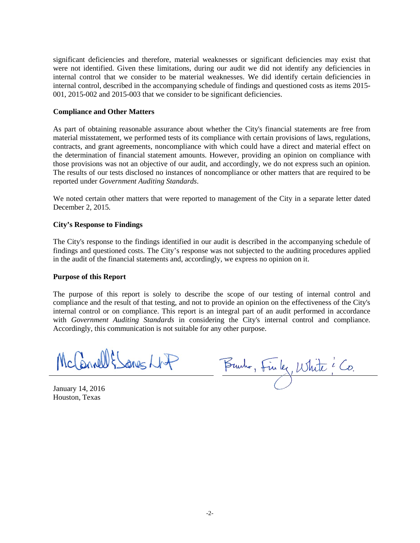significant deficiencies and therefore, material weaknesses or significant deficiencies may exist that were not identified. Given these limitations, during our audit we did not identify any deficiencies in internal control that we consider to be material weaknesses. We did identify certain deficiencies in internal control, described in the accompanying schedule of findings and questioned costs as items 2015- 001, 2015-002 and 2015-003 that we consider to be significant deficiencies.

#### **Compliance and Other Matters**

As part of obtaining reasonable assurance about whether the City's financial statements are free from material misstatement, we performed tests of its compliance with certain provisions of laws, regulations, contracts, and grant agreements, noncompliance with which could have a direct and material effect on the determination of financial statement amounts. However, providing an opinion on compliance with those provisions was not an objective of our audit, and accordingly, we do not express such an opinion. The results of our tests disclosed no instances of noncompliance or other matters that are required to be reported under *Government Auditing Standards*.

We noted certain other matters that were reported to management of the City in a separate letter dated December 2, 2015.

#### **City's Response to Findings**

The City's response to the findings identified in our audit is described in the accompanying schedule of findings and questioned costs. The City's response was not subjected to the auditing procedures applied in the audit of the financial statements and, accordingly, we express no opinion on it.

#### **Purpose of this Report**

The purpose of this report is solely to describe the scope of our testing of internal control and compliance and the result of that testing, and not to provide an opinion on the effectiveness of the City's internal control or on compliance. This report is an integral part of an audit performed in accordance with *Government Auditing Standards* in considering the City's internal control and compliance. Accordingly, this communication is not suitable for any other purpose.

McCannell & Sanes NAP

Burho, Finlez, White e Co.

January 14, 2016 Houston, Texas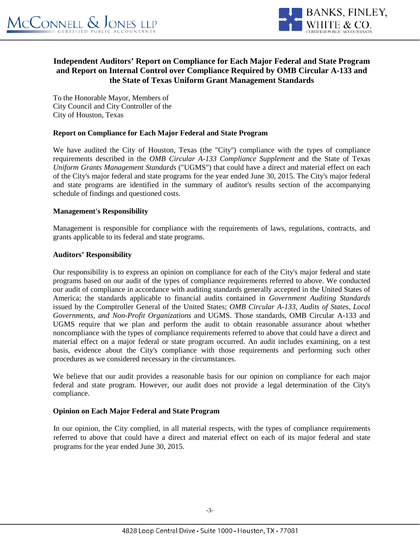

### **Independent Auditors' Report on Compliance for Each Major Federal and State Program and Report on Internal Control over Compliance Required by OMB Circular A-133 and the State of Texas Uniform Grant Management Standards**

To the Honorable Mayor, Members of City Council and City Controller of the City of Houston, Texas

### **Report on Compliance for Each Major Federal and State Program**

We have audited the City of Houston, Texas (the "City'') compliance with the types of compliance requirements described in the *OMB Circular A-133 Compliance Supplement* and the State of Texas *Uniform Grants Management Standards* ("UGMS") that could have a direct and material effect on each of the City's major federal and state programs for the year ended June 30, 2015. The City's major federal and state programs are identified in the summary of auditor's results section of the accompanying schedule of findings and questioned costs.

### **Management's Responsibility**

Management is responsible for compliance with the requirements of laws, regulations, contracts, and grants applicable to its federal and state programs.

### **Auditors' Responsibility**

Our responsibility is to express an opinion on compliance for each of the City's major federal and state programs based on our audit of the types of compliance requirements referred to above. We conducted our audit of compliance in accordance with auditing standards generally accepted in the United States of America; the standards applicable to financial audits contained in *Government Auditing Standards* issued by the Comptroller General of the United States; *OMB Circular A-133, Audits of States, Local Governments, and Non-Profit Organizations* and UGMS. Those standards, OMB Circular A-133 and UGMS require that we plan and perform the audit to obtain reasonable assurance about whether noncompliance with the types of compliance requirements referred to above that could have a direct and material effect on a major federal or state program occurred. An audit includes examining, on a test basis, evidence about the City's compliance with those requirements and performing such other procedures as we considered necessary in the circumstances.

We believe that our audit provides a reasonable basis for our opinion on compliance for each major federal and state program. However, our audit does not provide a legal determination of the City's compliance.

### **Opinion on Each Major Federal and State Program**

In our opinion, the City complied, in all material respects, with the types of compliance requirements referred to above that could have a direct and material effect on each of its major federal and state programs for the year ended June 30, 2015.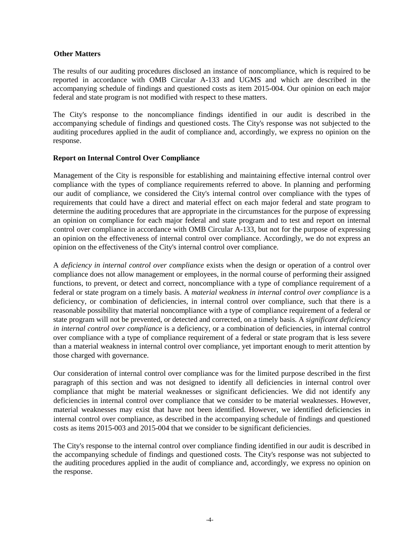#### **Other Matters**

The results of our auditing procedures disclosed an instance of noncompliance, which is required to be reported in accordance with OMB Circular A-133 and UGMS and which are described in the accompanying schedule of findings and questioned costs as item 2015-004. Our opinion on each major federal and state program is not modified with respect to these matters.

The City's response to the noncompliance findings identified in our audit is described in the accompanying schedule of findings and questioned costs. The City's response was not subjected to the auditing procedures applied in the audit of compliance and, accordingly, we express no opinion on the response.

### **Report on Internal Control Over Compliance**

Management of the City is responsible for establishing and maintaining effective internal control over compliance with the types of compliance requirements referred to above. In planning and performing our audit of compliance, we considered the City's internal control over compliance with the types of requirements that could have a direct and material effect on each major federal and state program to determine the auditing procedures that are appropriate in the circumstances for the purpose of expressing an opinion on compliance for each major federal and state program and to test and report on internal control over compliance in accordance with OMB Circular A-133, but not for the purpose of expressing an opinion on the effectiveness of internal control over compliance. Accordingly, we do not express an opinion on the effectiveness of the City's internal control over compliance.

A *deficiency in internal control over compliance* exists when the design or operation of a control over compliance does not allow management or employees, in the normal course of performing their assigned functions, to prevent, or detect and correct, noncompliance with a type of compliance requirement of a federal or state program on a timely basis. A *material weakness in internal control over compliance* is a deficiency, or combination of deficiencies, in internal control over compliance, such that there is a reasonable possibility that material noncompliance with a type of compliance requirement of a federal or state program will not be prevented, or detected and corrected, on a timely basis. A *significant deficiency in internal control over compliance* is a deficiency, or a combination of deficiencies, in internal control over compliance with a type of compliance requirement of a federal or state program that is less severe than a material weakness in internal control over compliance, yet important enough to merit attention by those charged with governance.

Our consideration of internal control over compliance was for the limited purpose described in the first paragraph of this section and was not designed to identify all deficiencies in internal control over compliance that might be material weaknesses or significant deficiencies. We did not identify any deficiencies in internal control over compliance that we consider to be material weaknesses. However, material weaknesses may exist that have not been identified. However, we identified deficiencies in internal control over compliance, as described in the accompanying schedule of findings and questioned costs as items 2015-003 and 2015-004 that we consider to be significant deficiencies.

The City's response to the internal control over compliance finding identified in our audit is described in the accompanying schedule of findings and questioned costs. The City's response was not subjected to the auditing procedures applied in the audit of compliance and, accordingly, we express no opinion on the response.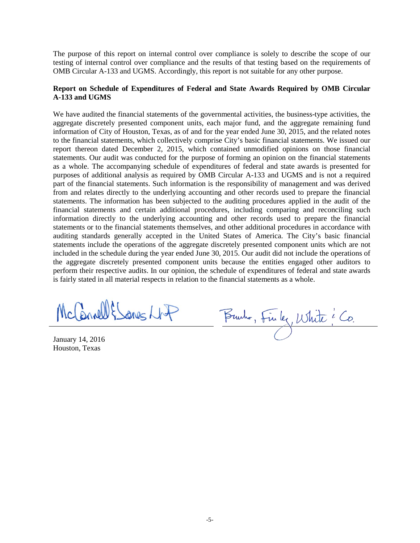The purpose of this report on internal control over compliance is solely to describe the scope of our testing of internal control over compliance and the results of that testing based on the requirements of OMB Circular A-133 and UGMS. Accordingly, this report is not suitable for any other purpose.

### **Report on Schedule of Expenditures of Federal and State Awards Required by OMB Circular A-133 and UGMS**

We have audited the financial statements of the governmental activities, the business-type activities, the aggregate discretely presented component units, each major fund, and the aggregate remaining fund information of City of Houston, Texas, as of and for the year ended June 30, 2015, and the related notes to the financial statements, which collectively comprise City's basic financial statements. We issued our report thereon dated December 2, 2015, which contained unmodified opinions on those financial statements. Our audit was conducted for the purpose of forming an opinion on the financial statements as a whole. The accompanying schedule of expenditures of federal and state awards is presented for purposes of additional analysis as required by OMB Circular A-133 and UGMS and is not a required part of the financial statements. Such information is the responsibility of management and was derived from and relates directly to the underlying accounting and other records used to prepare the financial statements. The information has been subjected to the auditing procedures applied in the audit of the financial statements and certain additional procedures, including comparing and reconciling such information directly to the underlying accounting and other records used to prepare the financial statements or to the financial statements themselves, and other additional procedures in accordance with auditing standards generally accepted in the United States of America. The City's basic financial statements include the operations of the aggregate discretely presented component units which are not included in the schedule during the year ended June 30, 2015. Our audit did not include the operations of the aggregate discretely presented component units because the entities engaged other auditors to perform their respective audits. In our opinion, the schedule of expenditures of federal and state awards is fairly stated in all material respects in relation to the financial statements as a whole.

McCannell & Sanes NAP

January 14, 2016 Houston, Texas

Burho, Finlez, White ? Co.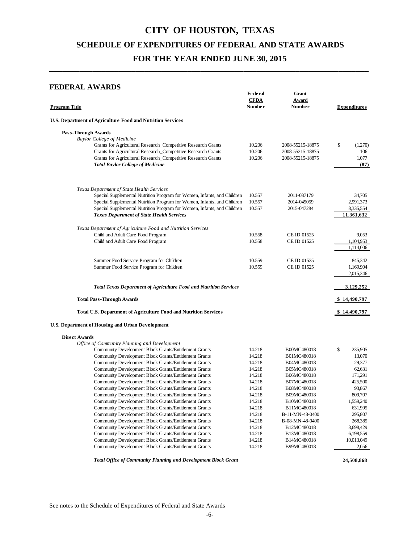**\_\_\_\_\_\_\_\_\_\_\_\_\_\_\_\_\_\_\_\_\_\_\_\_\_\_\_\_\_\_\_\_\_\_\_\_\_\_\_\_\_\_\_\_\_\_\_\_\_\_\_\_\_\_\_\_\_\_\_\_\_\_\_\_\_\_\_\_\_\_\_\_\_\_**

### **FEDERAL AWARDS**

| Program Title                                                                                                                | Federal<br><b>CFDA</b><br>Number | Grant<br>Award<br>Number             | <b>Expenditures</b>  |
|------------------------------------------------------------------------------------------------------------------------------|----------------------------------|--------------------------------------|----------------------|
| U.S. Department of Agriculture Food and Nutrition Services                                                                   |                                  |                                      |                      |
| <b>Pass-Through Awards</b>                                                                                                   |                                  |                                      |                      |
| <b>Baylor College of Medicine</b>                                                                                            |                                  |                                      |                      |
| Grants for Agricultural Research_Competitive Research Grants                                                                 | 10.206                           | 2008-55215-18875                     | \$<br>(1,270)<br>106 |
| Grants for Agricultural Research_Competitive Research Grants<br>Grants for Agricultural Research_Competitive Research Grants | 10.206<br>10.206                 | 2008-55215-18875<br>2008-55215-18875 | 1,077                |
| <b>Total Baylor College of Medicine</b>                                                                                      |                                  |                                      | (87)                 |
| Texas Department of State Health Services                                                                                    |                                  |                                      |                      |
| Special Supplemental Nutrition Program for Women, Infants, and Children                                                      | 10.557                           | 2011-037179                          | 34,705               |
| Special Supplemental Nutrition Program for Women, Infants, and Children                                                      | 10.557                           | 2014-045059                          | 2,991,373            |
| Special Supplemental Nutrition Program for Women, Infants, and Children                                                      | 10.557                           | 2015-047284                          | 8,335,554            |
| <b>Texas Department of State Health Services</b>                                                                             |                                  |                                      | 11,361,632           |
| Texas Department of Agriculture Food and Nutrition Services                                                                  |                                  |                                      |                      |
| Child and Adult Care Food Program                                                                                            | 10.558                           | CE ID 01525                          | 9,053                |
| Child and Adult Care Food Program                                                                                            | 10.558                           | CE ID 01525                          | 1,104,953            |
|                                                                                                                              |                                  |                                      | 1,114,006            |
| Summer Food Service Program for Children                                                                                     | 10.559                           | CE ID 01525                          | 845,342              |
| Summer Food Service Program for Children                                                                                     | 10.559                           | CE ID 01525                          | 1,169,904            |
|                                                                                                                              |                                  |                                      | 2,015,246            |
| <b>Total Texas Department of Agriculture Food and Nutrition Services</b>                                                     |                                  |                                      | 3,129,252            |
| <b>Total Pass-Through Awards</b>                                                                                             |                                  |                                      | \$14,490,797         |
| <b>Total U.S. Department of Agriculture Food and Nutrition Services</b>                                                      |                                  |                                      | \$14,490,797         |
| U.S. Department of Housing and Urban Development                                                                             |                                  |                                      |                      |
| <b>Direct Awards</b>                                                                                                         |                                  |                                      |                      |
| Office of Community Planning and Development                                                                                 |                                  |                                      |                      |
| Community Development Block Grants/Entitlement Grants                                                                        | 14.218                           | B00MC480018                          | \$<br>235,905        |
| Community Development Block Grants/Entitlement Grants<br>Community Development Block Grants/Entitlement Grants               | 14.218                           | B01MC480018                          | 13,070               |
| Community Development Block Grants/Entitlement Grants                                                                        | 14.218<br>14.218                 | B04MC480018<br>B05MC480018           | 29,377<br>62,631     |
| Community Development Block Grants/Entitlement Grants                                                                        | 14.218                           | B06MC480018                          | 171,291              |
| Community Development Block Grants/Entitlement Grants                                                                        | 14.218                           | B07MC480018                          | 425,500              |
| Community Development Block Grants/Entitlement Grants                                                                        | 14.218                           | B08MC480018                          | 93,867               |
| Community Development Block Grants/Entitlement Grants                                                                        | 14.218                           | B09MC480018                          | 809,707              |
| Community Development Block Grants/Entitlement Grants                                                                        | 14.218                           | B10MC480018                          | 1,559,240            |
| Community Development Block Grants/Entitlement Grants                                                                        | 14.218                           | B11MC480018                          | 631,995              |
| Community Development Block Grants/Entitlement Grants                                                                        | 14.218                           | B-11-MN-48-0400                      | 295,807              |
| Community Development Block Grants/Entitlement Grants                                                                        | 14.218                           | B-08-MN-48-0400                      | 268,385              |
| Community Development Block Grants/Entitlement Grants                                                                        | 14.218                           | B12MC480018                          | 3,698,429            |
| Community Development Block Grants/Entitlement Grants                                                                        | 14.218                           | B13MC480018                          | 6,198,559            |
| Community Development Block Grants/Entitlement Grants                                                                        | 14.218                           | B14MC480018                          | 10,013,049           |
| Community Development Block Grants/Entitlement Grants                                                                        | 14.218                           | B99MC480018                          | 2,056                |
| Total Office of Community Planning and Development Block Grant                                                               |                                  |                                      | 24,508,868           |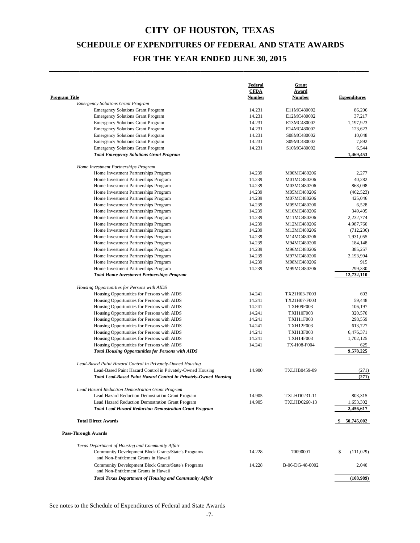**\_\_\_\_\_\_\_\_\_\_\_\_\_\_\_\_\_\_\_\_\_\_\_\_\_\_\_\_\_\_\_\_\_\_\_\_\_\_\_\_\_\_\_\_\_\_\_\_\_\_\_\_\_\_\_\_\_\_\_\_\_\_\_\_\_\_\_\_\_\_\_\_\_\_**

|                                                                                                                                | <b>Federal</b><br><b>CFDA</b> | <b>Grant</b><br><b>Award</b> |                        |
|--------------------------------------------------------------------------------------------------------------------------------|-------------------------------|------------------------------|------------------------|
| Program Title<br><b>Emergency Solutions Grant Program</b>                                                                      | Number                        | Number                       | <b>Expenditures</b>    |
| <b>Emergency Solutions Grant Program</b>                                                                                       | 14.231                        | E11MC480002                  | 86,206                 |
| <b>Emergency Solutions Grant Program</b>                                                                                       | 14.231                        | E12MC480002                  | 37,217                 |
| <b>Emergency Solutions Grant Program</b>                                                                                       | 14.231                        | E13MC480002                  | 1,197,923              |
| <b>Emergency Solutions Grant Program</b>                                                                                       | 14.231                        | E14MC480002                  | 123,623                |
| <b>Emergency Solutions Grant Program</b>                                                                                       | 14.231                        | S08MC480002                  | 10,048                 |
| <b>Emergency Solutions Grant Program</b>                                                                                       | 14.231                        | S09MC480002                  | 7,892                  |
| <b>Emergency Solutions Grant Program</b>                                                                                       | 14.231                        | S10MC480002                  | 6,544                  |
| <b>Total Emergency Solutions Grant Program</b>                                                                                 |                               |                              | 1,469,453              |
| Home Investment Partnerships Program                                                                                           |                               |                              |                        |
| Home Investment Partnerships Program                                                                                           | 14.239                        | M00MC480206                  | 2,277                  |
| Home Investment Partnerships Program                                                                                           | 14.239                        | M01MC480206                  | 40,282                 |
| Home Investment Partnerships Program                                                                                           | 14.239                        | M03MC480206                  | 868,098                |
| Home Investment Partnerships Program                                                                                           | 14.239                        | M05MC480206                  | (462, 523)             |
| Home Investment Partnerships Program                                                                                           | 14.239                        | M07MC480206                  | 425,046                |
| Home Investment Partnerships Program                                                                                           | 14.239                        | M09MC480206                  | 6,528                  |
| Home Investment Partnerships Program                                                                                           | 14.239                        | M10MC480206                  | 349,405                |
| Home Investment Partnerships Program                                                                                           | 14.239                        | M11MC480206                  | 2,232,774              |
| Home Investment Partnerships Program                                                                                           | 14.239                        | M12MC480206                  | 4,987,760              |
| Home Investment Partnerships Program                                                                                           | 14.239                        | M13MC480206                  | (712, 236)             |
| Home Investment Partnerships Program                                                                                           | 14.239                        | M14MC480206                  | 1,931,055              |
| Home Investment Partnerships Program                                                                                           | 14.239                        | M94MC480206                  | 184,148                |
| Home Investment Partnerships Program                                                                                           | 14.239                        | M96MC480206                  | 385,257                |
| Home Investment Partnerships Program                                                                                           | 14.239                        | M97MC480206                  | 2,193,994              |
| Home Investment Partnerships Program                                                                                           | 14.239                        | M98MC480206                  | 915                    |
| Home Investment Partnerships Program<br><b>Total Home Investment Partnerships Program</b>                                      | 14.239                        | M99MC480206                  | 299,330<br>12,732,110  |
| Housing Opportunities for Persons with AIDS                                                                                    |                               |                              |                        |
| Housing Opportunities for Persons with AIDS                                                                                    | 14.241                        | TX21H03-F003                 | 603                    |
| Housing Opportunities for Persons with AIDS                                                                                    | 14.241                        | TX21H07-F003                 | 59,448                 |
| Housing Opportunities for Persons with AIDS                                                                                    | 14.241                        | <b>TXH09F003</b>             | 106,197                |
| Housing Opportunities for Persons with AIDS                                                                                    | 14.241                        | <b>TXH10F003</b>             | 320,570                |
| Housing Opportunities for Persons with AIDS                                                                                    | 14.241                        | TXH11F003                    | 298,559                |
| Housing Opportunities for Persons with AIDS                                                                                    | 14.241                        | <b>TXH12F003</b>             | 613,727                |
| Housing Opportunities for Persons with AIDS                                                                                    | 14.241                        | <b>TXH13F003</b>             | 6,476,371              |
| Housing Opportunities for Persons with AIDS                                                                                    | 14.241                        | TXH14F003                    | 1,702,125              |
| Housing Opportunities for Persons with AIDS                                                                                    | 14.241                        | <b>TX-H08-F004</b>           | 625                    |
| <b>Total Housing Opportunities for Persons with AIDS</b>                                                                       |                               |                              | 9,578,225              |
| Lead-Based Paint Hazard Control in Privately-Owned Housing                                                                     |                               |                              |                        |
| Lead-Based Paint Hazard Control in Privately-Owned Housing<br>Total Lead-Based Paint Hazard Control in Privately-Owned Housing | 14.900                        | TXLHB0459-09                 | (271)<br>(271)         |
|                                                                                                                                |                               |                              |                        |
| Lead Hazard Reduction Demostration Grant Program                                                                               |                               |                              |                        |
| Lead Hazard Reduction Demostration Grant Program                                                                               | 14.905                        | TXLHD0231-11                 | 803,315                |
| Lead Hazard Reduction Demostration Grant Program<br><b>Total Lead Hazard Reduction Demostration Grant Program</b>              | 14.905                        | TXLHD0260-13                 | 1,653,302<br>2,456,617 |
| <b>Total Direct Awards</b>                                                                                                     |                               |                              | 50,745,002<br>S        |
| <b>Pass-Through Awards</b>                                                                                                     |                               |                              |                        |
| Texas Department of Housing and Community Affair                                                                               |                               |                              |                        |
| Community Development Block Grants/State's Programs<br>and Non-Entitlement Grants in Hawaii                                    | 14.228                        | 70090001                     | \$<br>(111,029)        |
| Community Development Block Grants/State's Programs<br>and Non-Entitlement Grants in Hawaii                                    | 14.228                        | B-06-DG-48-0002              | 2,040                  |
| <b>Total Texas Department of Housing and Community Affair</b>                                                                  |                               |                              | (108,989)              |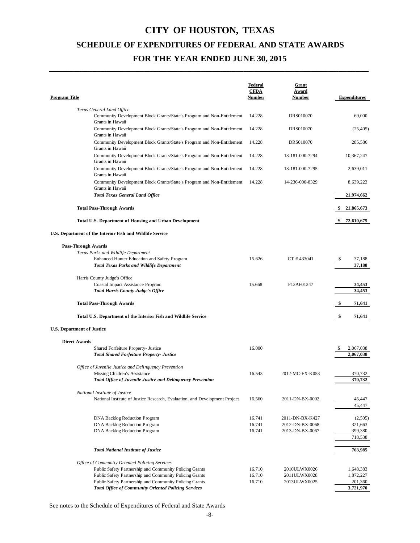**\_\_\_\_\_\_\_\_\_\_\_\_\_\_\_\_\_\_\_\_\_\_\_\_\_\_\_\_\_\_\_\_\_\_\_\_\_\_\_\_\_\_\_\_\_\_\_\_\_\_\_\_\_\_\_\_\_\_\_\_\_\_\_\_\_\_\_\_\_\_\_\_\_\_**

| <b>Program Title</b>                                                                       | <b>Federal</b><br><b>CFDA</b><br><b>Number</b> | <b>Grant</b><br>Award<br><b>Number</b> | <b>Expenditures</b> |
|--------------------------------------------------------------------------------------------|------------------------------------------------|----------------------------------------|---------------------|
| Texas General Land Office                                                                  |                                                |                                        |                     |
| Community Development Block Grants/State's Program and Non-Entitlement<br>Grants in Hawaii | 14.228                                         | DRS010070                              | 69,000              |
| Community Development Block Grants/State's Program and Non-Entitlement<br>Grants in Hawaii | 14.228                                         | DRS010070                              | (25, 405)           |
| Community Development Block Grants/State's Program and Non-Entitlement<br>Grants in Hawaii | 14.228                                         | DRS010070                              | 285,586             |
| Community Development Block Grants/State's Program and Non-Entitlement<br>Grants in Hawaii | 14.228                                         | 13-181-000-7294                        | 10,367,247          |
| Community Development Block Grants/State's Program and Non-Entitlement<br>Grants in Hawaii | 14.228                                         | 13-181-000-7295                        | 2,639,011           |
| Community Development Block Grants/State's Program and Non-Entitlement<br>Grants in Hawaii | 14.228                                         | 14-236-000-8329                        | 8,639,223           |
| <b>Total Texas General Land Office</b>                                                     |                                                |                                        | 21,974,662          |
| <b>Total Pass-Through Awards</b>                                                           |                                                |                                        | \$21,865,673        |
| <b>Total U.S. Department of Housing and Urban Development</b>                              |                                                |                                        | 72,610,675<br>SS.   |
| U.S. Department of the Interior Fish and Wildlife Service                                  |                                                |                                        |                     |
| <b>Pass-Through Awards</b>                                                                 |                                                |                                        |                     |
| Texas Parks and Wildlife Department                                                        |                                                |                                        |                     |
| <b>Enhanced Hunter Education and Safety Program</b>                                        | 15.626                                         | CT #433041                             | 37,188<br>\$        |
| <b>Total Texas Parks and Wildlife Department</b>                                           |                                                |                                        | 37,188              |
| Harris County Judge's Office                                                               |                                                |                                        |                     |
| <b>Coastal Impact Assistance Program</b>                                                   | 15.668                                         | F12AF01247                             | 34,453              |
| <b>Total Harris County Judge's Office</b>                                                  |                                                |                                        | 34,453              |
| <b>Total Pass-Through Awards</b>                                                           |                                                |                                        | 71,641<br>SS.       |
| Total U.S. Department of the Interior Fish and Wildlife Service                            |                                                |                                        | \$<br>71,641        |
| <b>U.S. Department of Justice</b>                                                          |                                                |                                        |                     |
| <b>Direct Awards</b>                                                                       |                                                |                                        |                     |
| Shared Forfeiture Property- Justice                                                        | 16.000                                         |                                        | \$<br>2,067,038     |
| <b>Total Shared Forfeiture Property- Justice</b>                                           |                                                |                                        | 2,067,038           |
|                                                                                            |                                                |                                        |                     |
| Office of Juvenile Justice and Delinquency Prevention<br>Missing Children's Assistance     | 16.543                                         | 2012-MC-FX-K053                        | 370,732             |
| <b>Total Office of Juvenile Justice and Delinquency Prevention</b>                         |                                                |                                        | 370,732             |
|                                                                                            |                                                |                                        |                     |
| National Institute of Justice                                                              |                                                |                                        |                     |
| National Institute of Justice Research, Evaluation, and Development Project                | 16.560                                         | 2011-DN-BX-0002                        | 45,447<br>45,447    |
|                                                                                            |                                                |                                        |                     |
| DNA Backlog Reduction Program                                                              | 16.741                                         | 2011-DN-BX-K427                        | (2,505)             |
| <b>DNA Backlog Reduction Program</b>                                                       | 16.741                                         | 2012-DN-BX-0068                        | 321,663             |
| <b>DNA Backlog Reduction Program</b>                                                       | 16.741                                         | 2013-DN-BX-0067                        | 399,380             |
|                                                                                            |                                                |                                        | 718,538             |
| <b>Total National Institute of Justice</b>                                                 |                                                |                                        | 763,985             |
| Office of Community Oriented Policing Services                                             |                                                |                                        |                     |
| Public Safety Partnership and Community Policing Grants                                    | 16.710                                         | 2010ULWX0026                           | 1,648,383           |
| Public Safety Partnership and Community Policing Grants                                    | 16.710                                         | 2011ULWX0028                           | 1,872,227           |
| Public Safety Partnership and Community Policing Grants                                    | 16.710                                         | 2013ULWX0025                           | 201,360             |
| <b>Total Office of Community Oriented Policing Services</b>                                |                                                |                                        | 3,721,970           |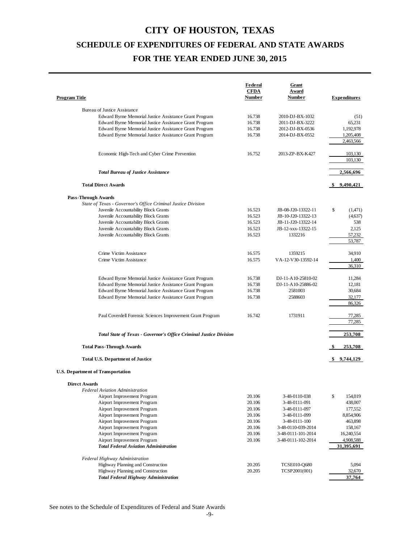| Program Title                                                                                 | <b>Federal</b><br><b>CFDA</b><br>Number | <u>Grant</u><br>Award<br>Number     | <b>Expenditures</b> |
|-----------------------------------------------------------------------------------------------|-----------------------------------------|-------------------------------------|---------------------|
|                                                                                               |                                         |                                     |                     |
| <b>Bureau of Justice Assistance</b><br>Edward Byrne Memorial Justice Assistance Grant Program | 16.738                                  | 2010-DJ-BX-1032                     | (51)                |
| Edward Byrne Memorial Justice Assistance Grant Program                                        | 16.738                                  | 2011-DJ-BX-3222                     | 65,231              |
| Edward Byrne Memorial Justice Assistance Grant Program                                        | 16.738                                  | 2012-DJ-BX-0536                     | 1,192,978           |
| Edward Byrne Memorial Justice Assistance Grant Program                                        | 16.738                                  | 2014-DJ-BX-0552                     | 1,205,408           |
|                                                                                               |                                         |                                     | 2,463,566           |
| Economic High-Tech and Cyber Crime Prevention                                                 | 16.752                                  | 2013-ZP-BX-K427                     | 103,130             |
|                                                                                               |                                         |                                     | 103,130             |
| <b>Total Bureau of Justice Assistance</b>                                                     |                                         |                                     | 2,566,696           |
| <b>Total Direct Awards</b>                                                                    |                                         |                                     | 9,490,421           |
| <b>Pass-Through Awards</b>                                                                    |                                         |                                     |                     |
| State of Texas - Governor's Office Criminal Justice Division                                  |                                         |                                     |                     |
| Juvenile Accountability Block Grants                                                          | 16.523                                  | JB-08-J20-13322-11                  | \$<br>(1,471)       |
| Juvenile Accountability Block Grants                                                          | 16.523                                  | JB-10-J20-13322-13                  | (4,637)             |
| Juvenile Accountability Block Grants                                                          | 16.523                                  | JB-11-J20-13322-14                  | 538                 |
| Juvenile Accountability Block Grants                                                          | 16.523                                  | JB-12-xxx-13322-15                  | 2,125               |
| Juvenile Accountability Block Grants                                                          | 16.523                                  | 1332216                             | 57,232<br>53,787    |
| Crime Victim Assistance                                                                       | 16.575                                  | 1359215                             | 34,910              |
| Crime Victim Assistance                                                                       | 16.575                                  | VA-12-V30-13592-14                  | 1,400               |
|                                                                                               |                                         |                                     | 36,310              |
| Edward Byrne Memorial Justice Assistance Grant Program                                        | 16.738                                  | DJ-11-A10-25810-02                  | 11,284              |
| Edward Byrne Memorial Justice Assistance Grant Program                                        | 16.738                                  | DJ-11-A10-25886-02                  | 12,181              |
| Edward Byrne Memorial Justice Assistance Grant Program                                        | 16.738                                  | 2581003                             | 30,684              |
| Edward Byrne Memorial Justice Assistance Grant Program                                        | 16.738                                  | 2588603                             | 32,177<br>86,326    |
| Paul Coverdell Forensic Sciences Improvement Grant Program                                    | 16.742                                  | 1731911                             | 77,285<br>77,285    |
| Total State of Texas - Governor's Office Criminal Justice Division                            |                                         |                                     | 253,708             |
| <b>Total Pass-Through Awards</b>                                                              |                                         |                                     | 253,708             |
|                                                                                               |                                         |                                     |                     |
| <b>Total U.S. Department of Justice</b>                                                       |                                         |                                     | \$9,744,129         |
| <b>U.S. Department of Transportation</b>                                                      |                                         |                                     |                     |
| <b>Direct Awards</b>                                                                          |                                         |                                     |                     |
| <b>Federal Aviation Administration</b>                                                        |                                         |                                     |                     |
| Airport Improvement Program                                                                   | 20.106                                  | 3-48-0110-038                       | \$<br>154,019       |
| Airport Improvement Program                                                                   | 20.106                                  | 3-48-0111-091                       | 438,007             |
| Airport Improvement Program                                                                   | 20.106                                  | 3-48-0111-097                       | 177,552             |
| Airport Improvement Program                                                                   | 20.106                                  | 3-48-0111-099                       | 8,854,906           |
| Airport Improvement Program<br>Airport Improvement Program                                    | 20.106<br>20.106                        | 3-48-0111-100<br>3-48-0110-039-2014 | 463,898<br>158,167  |
| Airport Improvement Program                                                                   | 20.106                                  | 3-48-0111-101-2014                  | 16,240,554          |
| Airport Improvement Program                                                                   | 20.106                                  | 3-48-0111-102-2014                  | 4,908,588           |
| <b>Total Federal Aviation Administration</b>                                                  |                                         |                                     | 31,395,691          |
| Federal Highway Administration                                                                |                                         |                                     |                     |
| Highway Planning and Construction                                                             | 20.205                                  | <b>TCSE010-Q680</b>                 | 5,094               |
| Highway Planning and Construction                                                             | 20.205                                  | TCSP2001(001)                       | 32,670              |
| <b>Total Federal Highway Administration</b>                                                   |                                         |                                     | 37,764              |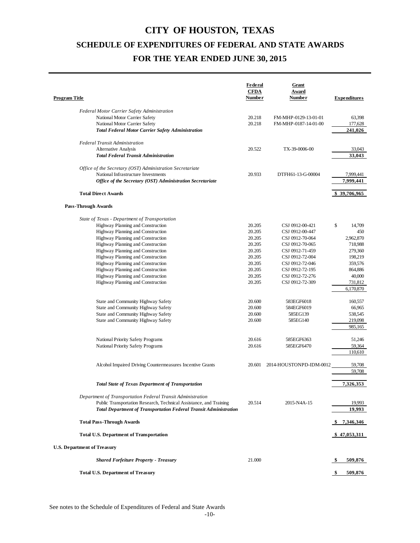| <b>Program Title</b>                                                                                                                                                                                                                                                                                                                                                                                                                                                                                                                                                                                                                                              | Federal<br><b>CFDA</b><br><b>Number</b>                                                                                                                      | Grant<br>Award<br><b>Number</b>                                                                                                                                                                                                                                            | <b>Expenditures</b>                                                                                                                                                                                            |
|-------------------------------------------------------------------------------------------------------------------------------------------------------------------------------------------------------------------------------------------------------------------------------------------------------------------------------------------------------------------------------------------------------------------------------------------------------------------------------------------------------------------------------------------------------------------------------------------------------------------------------------------------------------------|--------------------------------------------------------------------------------------------------------------------------------------------------------------|----------------------------------------------------------------------------------------------------------------------------------------------------------------------------------------------------------------------------------------------------------------------------|----------------------------------------------------------------------------------------------------------------------------------------------------------------------------------------------------------------|
| <b>Federal Motor Carrier Safety Administration</b><br>National Motor Carrier Safety<br>National Motor Carrier Safety<br><b>Total Federal Motor Carrier Safety Administration</b>                                                                                                                                                                                                                                                                                                                                                                                                                                                                                  | 20.218<br>20.218                                                                                                                                             | FM-MHP-0129-13-01-01<br>FM-MHP-0187-14-01-00                                                                                                                                                                                                                               | 63,398<br>177,628<br>241,026                                                                                                                                                                                   |
| <b>Federal Transit Administration</b><br>Alternative Analysis<br><b>Total Federal Transit Administration</b>                                                                                                                                                                                                                                                                                                                                                                                                                                                                                                                                                      | 20.522                                                                                                                                                       | TX-39-0006-00                                                                                                                                                                                                                                                              | 33,043<br>33,043                                                                                                                                                                                               |
| Office of the Secretary (OST) Administration Secretariate<br>National Infrastructure Investments<br>Office of the Secretary (OST) Administration Secretariate                                                                                                                                                                                                                                                                                                                                                                                                                                                                                                     | 20.933                                                                                                                                                       | DTFH61-13-G-00004                                                                                                                                                                                                                                                          | 7.999,441<br>7,999,441                                                                                                                                                                                         |
| <b>Total Direct Awards</b>                                                                                                                                                                                                                                                                                                                                                                                                                                                                                                                                                                                                                                        |                                                                                                                                                              |                                                                                                                                                                                                                                                                            | \$39,706,965                                                                                                                                                                                                   |
| <b>Pass-Through Awards</b>                                                                                                                                                                                                                                                                                                                                                                                                                                                                                                                                                                                                                                        |                                                                                                                                                              |                                                                                                                                                                                                                                                                            |                                                                                                                                                                                                                |
| State of Texas - Department of Transportation<br>Highway Planning and Construction<br>Highway Planning and Construction<br>Highway Planning and Construction<br>Highway Planning and Construction<br>Highway Planning and Construction<br>Highway Planning and Construction<br>Highway Planning and Construction<br>Highway Planning and Construction<br>Highway Planning and Construction<br>Highway Planning and Construction<br>State and Community Highway Safety<br>State and Community Highway Safety<br>State and Community Highway Safety<br>State and Community Highway Safety<br>National Priority Safety Programs<br>National Priority Safety Programs | 20.205<br>20.205<br>20.205<br>20.205<br>20.205<br>20.205<br>20.205<br>20.205<br>20.205<br>20.205<br>20.600<br>20.600<br>20.600<br>20.600<br>20.616<br>20.616 | CSJ 0912-00-421<br>CSJ 0912-00-447<br>CSJ 0912-70-064<br>CSJ 0912-70-065<br>CSJ 0912-71-459<br>CSJ 0912-72-004<br>CSJ 0912-72-046<br>CSJ 0912-72-195<br>CSJ 0912-72-276<br>CSJ 0912-72-309<br>583EGF6018<br>584EGF6019<br>585EG139<br>585EG140<br>585EGF6363<br>585EGF6470 | \$<br>14,709<br>450<br>2,962,870<br>718,988<br>279,360<br>198,219<br>359,576<br>864,886<br>40,000<br>731,812<br>6,170,870<br>160,557<br>66,965<br>538,545<br>219,098<br>985,165<br>51,246<br>59,364<br>110,610 |
| Alcohol Impaired Driving Countermeasures Incentive Grants                                                                                                                                                                                                                                                                                                                                                                                                                                                                                                                                                                                                         | 20.601                                                                                                                                                       | 2014-HOUSTONPD-IDM-0012                                                                                                                                                                                                                                                    | 59,708<br>59,708                                                                                                                                                                                               |
| <b>Total State of Texas Department of Transportation</b>                                                                                                                                                                                                                                                                                                                                                                                                                                                                                                                                                                                                          |                                                                                                                                                              |                                                                                                                                                                                                                                                                            | 7,326,353                                                                                                                                                                                                      |
| Department of Transportation Federal Transit Administration<br>Public Transportation Research, Technical Assistance, and Training<br><b>Total Department of Transportation Federal Transit Administration</b>                                                                                                                                                                                                                                                                                                                                                                                                                                                     | 20.514                                                                                                                                                       | 2015-N4A-15                                                                                                                                                                                                                                                                | 19,993<br>19.993                                                                                                                                                                                               |
| <b>Total Pass-Through Awards</b>                                                                                                                                                                                                                                                                                                                                                                                                                                                                                                                                                                                                                                  |                                                                                                                                                              |                                                                                                                                                                                                                                                                            | \$7,346,346                                                                                                                                                                                                    |
| <b>Total U.S. Department of Transportation</b>                                                                                                                                                                                                                                                                                                                                                                                                                                                                                                                                                                                                                    |                                                                                                                                                              |                                                                                                                                                                                                                                                                            | \$47,053,311                                                                                                                                                                                                   |
| <b>U.S. Department of Treasury</b>                                                                                                                                                                                                                                                                                                                                                                                                                                                                                                                                                                                                                                |                                                                                                                                                              |                                                                                                                                                                                                                                                                            |                                                                                                                                                                                                                |
| <b>Shared Forfeiture Property - Treasury</b>                                                                                                                                                                                                                                                                                                                                                                                                                                                                                                                                                                                                                      | 21.000                                                                                                                                                       |                                                                                                                                                                                                                                                                            | 509,876<br>\$                                                                                                                                                                                                  |
| Total U.S. Department of Treasury                                                                                                                                                                                                                                                                                                                                                                                                                                                                                                                                                                                                                                 |                                                                                                                                                              |                                                                                                                                                                                                                                                                            | 509,876                                                                                                                                                                                                        |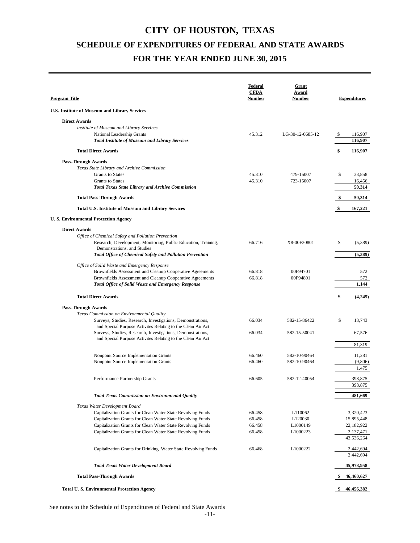| <u>Program Title</u>                                                                                                       | Federal<br><b>CFDA</b><br><b>Number</b> | Grant<br>Award<br><b>Number</b> | <b>Expenditures</b>     |
|----------------------------------------------------------------------------------------------------------------------------|-----------------------------------------|---------------------------------|-------------------------|
| <b>U.S. Institute of Museum and Library Services</b>                                                                       |                                         |                                 |                         |
| <b>Direct Awards</b>                                                                                                       |                                         |                                 |                         |
| Institute of Museum and Library Services                                                                                   |                                         |                                 |                         |
| National Leadership Grants                                                                                                 | 45.312                                  | LG-30-12-0685-12                | 116,907<br>S,           |
| <b>Total Institute of Museum and Library Services</b>                                                                      |                                         |                                 | 116,907                 |
| <b>Total Direct Awards</b>                                                                                                 |                                         |                                 | 116,907<br>\$           |
| <b>Pass-Through Awards</b>                                                                                                 |                                         |                                 |                         |
| Texas State Library and Archive Commission                                                                                 |                                         |                                 |                         |
| <b>Grants</b> to States<br><b>Grants</b> to States                                                                         | 45.310<br>45.310                        | 479-15007<br>723-15007          | \$<br>33,858<br>16,456  |
| <b>Total Texas State Library and Archive Commission</b>                                                                    |                                         |                                 | 50,314                  |
| <b>Total Pass-Through Awards</b>                                                                                           |                                         |                                 | 50,314<br>\$            |
| <b>Total U.S. Institute of Museum and Library Services</b>                                                                 |                                         |                                 | 167,221<br>\$           |
| <b>U.S. Environmental Protection Agency</b>                                                                                |                                         |                                 |                         |
|                                                                                                                            |                                         |                                 |                         |
| <b>Direct Awards</b><br>Office of Chemical Safety and Pollution Prevention                                                 |                                         |                                 |                         |
| Research, Development, Monitoring, Public Education, Training,                                                             | 66.716                                  | X8-00F30801                     | \$<br>(5,389)           |
| Demonstrations, and Studies                                                                                                |                                         |                                 |                         |
| Total Office of Chemical Safety and Pollution Prevention                                                                   |                                         |                                 | (5, 389)                |
| Office of Solid Waste and Emergency Response                                                                               |                                         |                                 |                         |
| Brownfields Assessment and Cleanup Cooperative Agreements                                                                  | 66.818                                  | 00F94701                        | 572                     |
| Brownfields Assessment and Cleanup Cooperative Agreements<br><b>Total Office of Solid Waste and Emergency Response</b>     | 66.818                                  | 00F94801                        | 572<br>1,144            |
|                                                                                                                            |                                         |                                 |                         |
| <b>Total Direct Awards</b>                                                                                                 |                                         |                                 | (4,245)                 |
| <b>Pass-Through Awards</b>                                                                                                 |                                         |                                 |                         |
| Texas Commission on Environmental Quality                                                                                  |                                         |                                 |                         |
| Surveys, Studies, Research, Investigations, Demonstrations,<br>and Special Purpose Activites Relating to the Clean Air Act | 66.034                                  | 582-15-86422                    | \$<br>13,743            |
| Surveys, Studies, Research, Investigations, Demonstrations,                                                                | 66.034                                  | 582-15-50041                    | 67,576                  |
| and Special Purpose Activites Relating to the Clean Air Act                                                                |                                         |                                 |                         |
|                                                                                                                            |                                         |                                 | 81,319                  |
| Nonpoint Source Implementation Grants                                                                                      | 66.460                                  | 582-10-90464                    | 11,281                  |
| Nonpoint Source Implementation Grants                                                                                      | 66.460                                  | 582-10-90464                    | (9,806)                 |
|                                                                                                                            |                                         |                                 | 1,475                   |
| Performance Partnership Grants                                                                                             | 66.605                                  | 582-12-40054                    | 398,875                 |
|                                                                                                                            |                                         |                                 | 398,875                 |
| <b>Total Texas Commission on Environmental Quality</b>                                                                     |                                         |                                 | 481,669                 |
| Texas Water Development Board                                                                                              |                                         |                                 |                         |
| Capitalization Grants for Clean Water State Revolving Funds                                                                | 66.458                                  | L110062                         | 3,320,423               |
| Capitalization Grants for Clean Water State Revolving Funds                                                                | 66.458                                  | L120030                         | 15,895,448              |
| Capitalization Grants for Clean Water State Revolving Funds<br>Capitalization Grants for Clean Water State Revolving Funds | 66.458<br>66.458                        | L1000149<br>L1000223            | 22,182,922<br>2,137,471 |
|                                                                                                                            |                                         |                                 | 43,536,264              |
| Capitalization Grants for Drinking Water State Revolving Funds                                                             | 66.468                                  | L1000222                        | 2,442,694               |
|                                                                                                                            |                                         |                                 | 2,442,694               |
| <b>Total Texas Water Development Board</b>                                                                                 |                                         |                                 | 45,978,958              |
| <b>Total Pass-Through Awards</b>                                                                                           |                                         |                                 | 46,460,627<br>S         |
| <b>Total U.S. Environmental Protection Agency</b>                                                                          |                                         |                                 | \$<br>46,456,382        |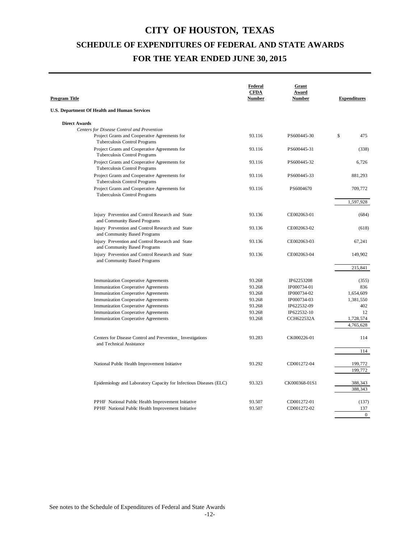| <b>Program Title</b>                                                                                                         | Federal<br><b>CFDA</b><br><b>Number</b> | Grant<br>Award<br><b>Number</b> | <b>Expenditures</b> |
|------------------------------------------------------------------------------------------------------------------------------|-----------------------------------------|---------------------------------|---------------------|
| U.S. Department Of Health and Human Services                                                                                 |                                         |                                 |                     |
| <b>Direct Awards</b>                                                                                                         |                                         |                                 |                     |
| Centers for Disease Control and Prevention<br>Project Grants and Cooperative Agreements for<br>Tuberculosis Control Programs | 93.116                                  | PS600445-30                     | \$<br>475           |
| Project Grants and Cooperative Agreements for<br>Tuberculosis Control Programs                                               | 93.116                                  | PS600445-31                     | (338)               |
| Project Grants and Cooperative Agreements for<br>Tuberculosis Control Programs                                               | 93.116                                  | PS600445-32                     | 6,726               |
| Project Grants and Cooperative Agreements for<br>Tuberculosis Control Programs                                               | 93.116                                  | PS600445-33                     | 881,293             |
| Project Grants and Cooperative Agreements for<br>Tuberculosis Control Programs                                               | 93.116                                  | PS6004670                       | 709,772             |
|                                                                                                                              |                                         |                                 | 1,597,928           |
| Injury Prevention and Control Research and State<br>and Community Based Programs                                             | 93.136                                  | CE002063-01                     | (684)               |
| Injury Prevention and Control Research and State<br>and Community Based Programs                                             | 93.136                                  | CE002063-02                     | (618)               |
| Injury Prevention and Control Research and State<br>and Community Based Programs                                             | 93.136                                  | CE002063-03                     | 67,241              |
| Injury Prevention and Control Research and State<br>and Community Based Programs                                             | 93.136                                  | CE002063-04                     | 149,902             |
|                                                                                                                              |                                         |                                 | 215,841             |
| <b>Immunization Cooperative Agreements</b>                                                                                   | 93.268                                  | IP62253208                      | (355)               |
| <b>Immunization Cooperative Agreements</b>                                                                                   | 93.268                                  | IP000734-01                     | 836                 |
| <b>Immunization Cooperative Agreements</b>                                                                                   | 93.268                                  | IP000734-02                     | 1,654,609           |
| <b>Immunization Cooperative Agreements</b>                                                                                   | 93.268                                  | IP000734-03                     | 1,381,550           |
| <b>Immunization Cooperative Agreements</b>                                                                                   | 93.268                                  | IP622532-09                     | 402                 |
| <b>Immunization Cooperative Agreements</b>                                                                                   | 93.268                                  | IP622532-10                     | 12                  |
| <b>Immunization Cooperative Agreements</b>                                                                                   | 93.268                                  | CCH622532A                      | 1,728,574           |
|                                                                                                                              |                                         |                                 | 4,765,628           |
| Centers for Disease Control and Prevention_Investigations<br>and Technical Assistance                                        | 93.283                                  | CK000226-01                     | 114                 |
|                                                                                                                              |                                         |                                 | 114                 |
| National Public Health Improvement Initiative                                                                                | 93.292                                  | CD001272-04                     | 199,772             |
|                                                                                                                              |                                         |                                 | 199,772             |
| Epidemiology and Laboratory Capacity for Infectious Diseases (ELC)                                                           | 93.323                                  | CK000368-01S1                   | 388,343<br>388,343  |
| PPHF National Public Health Improvement Initiative                                                                           | 93.507                                  | CD001272-01                     | (137)               |
| PPHF National Public Health Improvement Initiative                                                                           | 93.507                                  | CD001272-02                     | 137                 |
|                                                                                                                              |                                         |                                 | $\theta$            |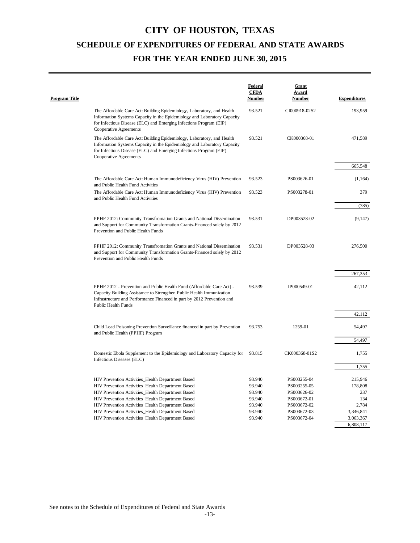| <b>Program Title</b> |                                                                                                                                                                                                                                                        | <b>Federal</b><br><b>CFDA</b><br><u>Number</u> | Grant<br><b>Award</b><br><b>Number</b> | <b>Expenditures</b>    |
|----------------------|--------------------------------------------------------------------------------------------------------------------------------------------------------------------------------------------------------------------------------------------------------|------------------------------------------------|----------------------------------------|------------------------|
|                      | The Affordable Care Act: Building Epidemiology, Laboratory, and Health<br>Information Systems Capacity in the Epidemiology and Laboratory Capacity<br>for Infectious Disease (ELC) and Emerging Infections Program (EIP)<br>Cooperative Agreements     | 93.521                                         | CI000918-02S2                          | 193,959                |
|                      | The Affordable Care Act: Building Epidemiology, Laboratory, and Health<br>Information Systems Capacity in the Epidemiology and Laboratory Capacity<br>for Infectious Disease (ELC) and Emerging Infections Program (EIP)<br>Cooperative Agreements     | 93.521                                         | CK000368-01                            | 471,589                |
|                      |                                                                                                                                                                                                                                                        |                                                |                                        | 665,548                |
|                      | The Affordable Care Act: Human Immunodeficiency Virus (HIV) Prevention<br>and Public Health Fund Activities                                                                                                                                            | 93.523                                         | PS003626-01                            | (1, 164)               |
|                      | The Affordable Care Act: Human Immunodeficiency Virus (HIV) Prevention<br>and Public Health Fund Activities                                                                                                                                            | 93.523                                         | PS003278-01                            | 379                    |
|                      |                                                                                                                                                                                                                                                        |                                                |                                        | (785)                  |
|                      | PPHF 2012: Community Transfromation Grants and National Dissemination<br>and Support for Community Transformation Grants-Financed solely by 2012<br>Prevention and Public Health Funds                                                                 | 93.531                                         | DP003528-02                            | (9,147)                |
|                      | PPHF 2012: Community Transfromation Grants and National Dissemination<br>and Support for Community Transformation Grants-Financed solely by 2012<br>Prevention and Public Health Funds                                                                 | 93.531                                         | DP003528-03                            | 276,500                |
|                      |                                                                                                                                                                                                                                                        |                                                |                                        | 267,353                |
|                      |                                                                                                                                                                                                                                                        |                                                |                                        |                        |
|                      | PPHF 2012 - Prevention and Public Health Fund (Affordable Care Act) -<br>Capacity Building Assistance to Strengthen Public Health Immunization<br>Infrastructure and Performance Financed in part by 2012 Prevention and<br><b>Public Health Funds</b> | 93.539                                         | IP000549-01                            | 42,112                 |
|                      |                                                                                                                                                                                                                                                        |                                                |                                        | 42,112                 |
|                      | Child Lead Poisoning Prevention Surveillance financed in part by Prevention<br>and Public Health (PPHF) Program                                                                                                                                        | 93.753                                         | 1259-01                                | 54,497                 |
|                      |                                                                                                                                                                                                                                                        |                                                |                                        | 54,497                 |
|                      | Domestic Ebola Supplement to the Epidemiology and Laboratory Capacity for<br>Infectious Diseases (ELC)                                                                                                                                                 | 93.815                                         | CK000368-01S2                          | 1,755                  |
|                      |                                                                                                                                                                                                                                                        |                                                |                                        | 1,755                  |
|                      | HIV Prevention Activities_Health Department Based                                                                                                                                                                                                      | 93.940                                         | PS003255-04                            | 215,946                |
|                      | HIV Prevention Activities_Health Department Based                                                                                                                                                                                                      | 93.940                                         | PS003255-05                            | 178,808                |
|                      | HIV Prevention Activities_Health Department Based                                                                                                                                                                                                      | 93.940                                         | PS003626-02                            | 237                    |
|                      | HIV Prevention Activities_Health Department Based                                                                                                                                                                                                      | 93.940                                         | PS003672-01                            | 134                    |
|                      | HIV Prevention Activities_Health Department Based                                                                                                                                                                                                      | 93.940                                         | PS003672-02                            | 2,784                  |
|                      | HIV Prevention Activities_Health Department Based<br>HIV Prevention Activities_Health Department Based                                                                                                                                                 | 93.940<br>93.940                               | PS003672-03<br>PS003672-04             | 3,346,841<br>3,063,367 |
|                      |                                                                                                                                                                                                                                                        |                                                |                                        | 6,808,117              |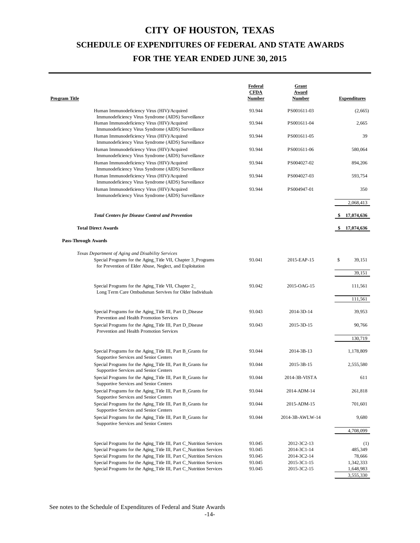| 93.944<br>PS001611-03<br>Human Immunodeficiency Virus (HIV)/Acquired<br>Immunodeficiency Virus Syndrome (AIDS) Surveillance<br>93.944<br>PS001611-04<br>Human Immunodeficiency Virus (HIV)/Acquired<br>Immunodeficiency Virus Syndrome (AIDS) Surveillance<br>Human Immunodeficiency Virus (HIV)/Acquired<br>93.944<br>PS001611-05<br>Immunodeficiency Virus Syndrome (AIDS) Surveillance | (2,665)<br>2,665<br>39<br>580,064<br>894,206<br>593,754<br>350 |
|-------------------------------------------------------------------------------------------------------------------------------------------------------------------------------------------------------------------------------------------------------------------------------------------------------------------------------------------------------------------------------------------|----------------------------------------------------------------|
|                                                                                                                                                                                                                                                                                                                                                                                           |                                                                |
|                                                                                                                                                                                                                                                                                                                                                                                           |                                                                |
|                                                                                                                                                                                                                                                                                                                                                                                           |                                                                |
|                                                                                                                                                                                                                                                                                                                                                                                           |                                                                |
| Human Immunodeficiency Virus (HIV)/Acquired<br>93.944<br>PS001611-06<br>Immunodeficiency Virus Syndrome (AIDS) Surveillance                                                                                                                                                                                                                                                               |                                                                |
| Human Immunodeficiency Virus (HIV)/Acquired<br>93.944<br>PS004027-02<br>Immunodeficiency Virus Syndrome (AIDS) Surveillance                                                                                                                                                                                                                                                               |                                                                |
| Human Immunodeficiency Virus (HIV)/Acquired<br>93.944<br>PS004027-03<br>Immunodeficiency Virus Syndrome (AIDS) Surveillance                                                                                                                                                                                                                                                               |                                                                |
| 93.944<br>Human Immunodeficiency Virus (HIV)/Acquired<br>PS004947-01<br>Immunodeficiency Virus Syndrome (AIDS) Surveillance                                                                                                                                                                                                                                                               |                                                                |
|                                                                                                                                                                                                                                                                                                                                                                                           | 2,068,413                                                      |
| <b>Total Centers for Disease Control and Prevention</b>                                                                                                                                                                                                                                                                                                                                   | 17,074,636                                                     |
| <b>Total Direct Awards</b>                                                                                                                                                                                                                                                                                                                                                                | 17,074,636                                                     |
| <b>Pass-Through Awards</b>                                                                                                                                                                                                                                                                                                                                                                |                                                                |
| Texas Department of Aging and Disability Services                                                                                                                                                                                                                                                                                                                                         |                                                                |
| 93.041<br>\$<br>Special Programs for the Aging_Title VII, Chapter 3_Programs<br>2015-EAP-15<br>for Prevention of Elder Abuse, Neglect, and Exploitation                                                                                                                                                                                                                                   | 39,151                                                         |
|                                                                                                                                                                                                                                                                                                                                                                                           | 39,151                                                         |
| 93.042<br>Special Programs for the Aging_Title VII, Chapter 2_<br>2015-OAG-15<br>Long Term Care Ombudsman Servives for Older Individuals                                                                                                                                                                                                                                                  | 111,561                                                        |
|                                                                                                                                                                                                                                                                                                                                                                                           | 111,561                                                        |
| Special Programs for the Aging_Title III, Part D_Disease<br>93.043<br>2014-3D-14<br>Prevention and Health Promotion Services                                                                                                                                                                                                                                                              | 39,953                                                         |
| Special Programs for the Aging_Title III, Part D_Disease<br>93.043<br>2015-3D-15<br>Prevention and Health Promotion Services                                                                                                                                                                                                                                                              | 90,766                                                         |
|                                                                                                                                                                                                                                                                                                                                                                                           | 130,719                                                        |
| Special Programs for the Aging_Title III, Part B_Grants for<br>93.044<br>2014-3B-13<br>Supportive Services and Senior Centers                                                                                                                                                                                                                                                             | 1,178,809                                                      |
| Special Programs for the Aging_Title III, Part B_Grants for<br>93.044<br>2015-3B-15<br>Supportive Services and Senior Centers                                                                                                                                                                                                                                                             | 2,555,580                                                      |
| 2014-3B-VISTA<br>Special Programs for the Aging_Title III, Part B_Grants for<br>93.044<br>Supportive Services and Senior Centers                                                                                                                                                                                                                                                          | 611                                                            |
| 93.044<br>Special Programs for the Aging_Title III, Part B_Grants for<br>2014-ADM-14<br>Supportive Services and Senior Centers                                                                                                                                                                                                                                                            | 261,818                                                        |
| 93.044<br>Special Programs for the Aging_Title III, Part B_Grants for<br>2015-ADM-15<br>Supportive Services and Senior Centers                                                                                                                                                                                                                                                            | 701,601                                                        |
| Special Programs for the Aging_Title III, Part B_Grants for<br>93.044<br>2014-3B-AWLW-14<br>Supportive Services and Senior Centers                                                                                                                                                                                                                                                        | 9,680                                                          |
|                                                                                                                                                                                                                                                                                                                                                                                           | 4,708,099                                                      |
| Special Programs for the Aging_Title III, Part C_Nutrition Services<br>93.045<br>2012-3C2-13                                                                                                                                                                                                                                                                                              | (1)                                                            |
| Special Programs for the Aging_Title III, Part C_Nutrition Services<br>93.045<br>2014-3C1-14                                                                                                                                                                                                                                                                                              | 485,349                                                        |
| Special Programs for the Aging_Title III, Part C_Nutrition Services<br>93.045<br>2014-3C2-14                                                                                                                                                                                                                                                                                              | 78,666                                                         |
| Special Programs for the Aging_Title III, Part C_Nutrition Services<br>93.045<br>2015-3C1-15                                                                                                                                                                                                                                                                                              | 1,342,333                                                      |
| Special Programs for the Aging_Title III, Part C_Nutrition Services<br>93.045<br>2015-3C2-15                                                                                                                                                                                                                                                                                              | 1,648,983<br>3,555,330                                         |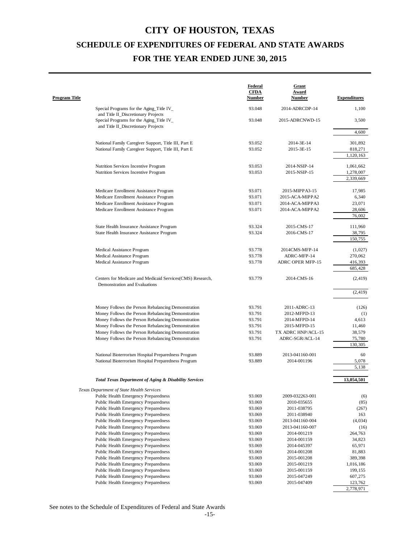| Special Programs for the Aging_Title IV_<br>93.048<br>2014-ADRCDP-14<br>1,100<br>and Title II_Discretionary Projects<br>Special Programs for the Aging_Title IV_<br>3,500<br>93.048<br>2015-ADRCNWD-15<br>and Title II_Discretionary Projects<br>4,600<br>National Family Caregiver Support, Title III, Part E<br>93.052<br>301,892<br>2014-3E-14<br>National Family Caregiver Support, Title III, Part E<br>93.052<br>818,271<br>2015-3E-15<br>1,120,163<br>93.053<br>2014-NSIP-14<br>Nutrition Services Incentive Program<br>1,061,662<br>Nutrition Services Incentive Program<br>93.053<br>2015-NSIP-15<br>1,278,007<br>2,339,669<br>93.071<br>2015-MIPPA3-15<br>17,985<br>Medicare Enrollment Assistance Program<br>93.071<br>Medicare Enrollment Assistance Program<br>2015-ACA-MIPPA2<br>6,340<br>93.071<br>Medicare Enrollment Assistance Program<br>23,071<br>2014-ACA-MIPPA3<br>Medicare Enrollment Assistance Program<br>93.071<br>2014-ACA-MIPPA2<br>28,606<br>76,002<br>State Health Insurance Assistance Program<br>93.324<br>2015-CMS-17<br>111,960<br>State Health Insurance Assistance Program<br>93.324<br>2016-CMS-17<br>38,795<br>150,755<br>93.778<br>2014CMS-MFP-14<br>(1,027)<br>Medical Assistance Program<br>270,062<br>Medical Assistance Program<br>93.778<br>ADRC-MFP-14<br>Medical Assistance Program<br>93.778<br>416,393<br><b>ADRC OPER MFP-15</b><br>685,428<br>Centers for Medicare and Medicaid Services(CMS) Research,<br>93.779<br>2014-CMS-16<br>(2, 419)<br>Demonstration and Evaluations<br>(2, 419)<br>Money Follows the Person Rebalancing Demonstration<br>93.791<br>2011-ADRC-13<br>(126)<br>Money Follows the Person Rebalancing Demonstration<br>93.791<br>2012-MFPD-13<br>(1)<br>Money Follows the Person Rebalancing Demonstration<br>93.791<br>4,613<br>2014-MFPD-14<br>Money Follows the Person Rebalancing Demonstration<br>93.791<br>2015-MFPD-15<br>11,460<br>Money Follows the Person Rebalancing Demonstration<br>93.791<br>TX ADRC HNP/ACL-15<br>38,579<br>Money Follows the Person Rebalancing Demonstration<br>93.791<br>ADRC-SGR/ACL-14<br>75,780<br>130,305<br>National Bioterrorism Hospital Preparedness Program<br>93.889<br>2013-041160-001<br>60<br>National Bioterrorism Hospital Preparedness Program<br>93.889<br>2014-001196<br>5,078<br>5,138<br><b>Total Texas Department of Aging &amp; Disability Services</b><br>13,054,501<br>Texas Department of State Health Services<br>Public Health Emergency Preparedness<br>93.069<br>2009-032263-001<br>(6)<br>Public Health Emergency Preparedness<br>93.069<br>2010-035655<br>(85)<br><b>Public Health Emergency Preparedness</b><br>93.069<br>2011-038795<br>(267)<br>Public Health Emergency Preparedness<br>93.069<br>2011-038940<br>163<br>Public Health Emergency Preparedness<br>93.069<br>2013-041160-004<br>(4,034)<br>Public Health Emergency Preparedness<br>93.069<br>2013-041160-007<br>(16)<br>264,763<br><b>Public Health Emergency Preparedness</b><br>93.069<br>2014-001219<br>34,823<br>Public Health Emergency Preparedness<br>93.069<br>2014-001159<br>Public Health Emergency Preparedness<br>93.069<br>2014-045397<br>65,971<br>Public Health Emergency Preparedness<br>93.069<br>81,883<br>2014-001208<br>Public Health Emergency Preparedness<br>93.069<br>2015-001208<br>389,398<br>1,016,186<br>Public Health Emergency Preparedness<br>93.069<br>2015-001219<br>Public Health Emergency Preparedness<br>93.069<br>199,155<br>2015-001159<br>Public Health Emergency Preparedness<br>93.069<br>2015-047249<br>607,275<br>Public Health Emergency Preparedness<br>93.069<br>2015-047409<br>123,762<br>2,778,971 | <b>Program Title</b> | Federal<br><b>CFDA</b><br><b>Number</b> | <b>Grant</b><br><b>Award</b><br><b>Number</b> | <b>Expenditures</b> |
|-------------------------------------------------------------------------------------------------------------------------------------------------------------------------------------------------------------------------------------------------------------------------------------------------------------------------------------------------------------------------------------------------------------------------------------------------------------------------------------------------------------------------------------------------------------------------------------------------------------------------------------------------------------------------------------------------------------------------------------------------------------------------------------------------------------------------------------------------------------------------------------------------------------------------------------------------------------------------------------------------------------------------------------------------------------------------------------------------------------------------------------------------------------------------------------------------------------------------------------------------------------------------------------------------------------------------------------------------------------------------------------------------------------------------------------------------------------------------------------------------------------------------------------------------------------------------------------------------------------------------------------------------------------------------------------------------------------------------------------------------------------------------------------------------------------------------------------------------------------------------------------------------------------------------------------------------------------------------------------------------------------------------------------------------------------------------------------------------------------------------------------------------------------------------------------------------------------------------------------------------------------------------------------------------------------------------------------------------------------------------------------------------------------------------------------------------------------------------------------------------------------------------------------------------------------------------------------------------------------------------------------------------------------------------------------------------------------------------------------------------------------------------------------------------------------------------------------------------------------------------------------------------------------------------------------------------------------------------------------------------------------------------------------------------------------------------------------------------------------------------------------------------------------------------------------------------------------------------------------------------------------------------------------------------------------------------------------------------------------------------------------------------------------------------------------------------------------------------------------------------------------------------------------------------------------------------------------------------------------------------------------------------------------|----------------------|-----------------------------------------|-----------------------------------------------|---------------------|
|                                                                                                                                                                                                                                                                                                                                                                                                                                                                                                                                                                                                                                                                                                                                                                                                                                                                                                                                                                                                                                                                                                                                                                                                                                                                                                                                                                                                                                                                                                                                                                                                                                                                                                                                                                                                                                                                                                                                                                                                                                                                                                                                                                                                                                                                                                                                                                                                                                                                                                                                                                                                                                                                                                                                                                                                                                                                                                                                                                                                                                                                                                                                                                                                                                                                                                                                                                                                                                                                                                                                                                                                                                                             |                      |                                         |                                               |                     |
|                                                                                                                                                                                                                                                                                                                                                                                                                                                                                                                                                                                                                                                                                                                                                                                                                                                                                                                                                                                                                                                                                                                                                                                                                                                                                                                                                                                                                                                                                                                                                                                                                                                                                                                                                                                                                                                                                                                                                                                                                                                                                                                                                                                                                                                                                                                                                                                                                                                                                                                                                                                                                                                                                                                                                                                                                                                                                                                                                                                                                                                                                                                                                                                                                                                                                                                                                                                                                                                                                                                                                                                                                                                             |                      |                                         |                                               |                     |
|                                                                                                                                                                                                                                                                                                                                                                                                                                                                                                                                                                                                                                                                                                                                                                                                                                                                                                                                                                                                                                                                                                                                                                                                                                                                                                                                                                                                                                                                                                                                                                                                                                                                                                                                                                                                                                                                                                                                                                                                                                                                                                                                                                                                                                                                                                                                                                                                                                                                                                                                                                                                                                                                                                                                                                                                                                                                                                                                                                                                                                                                                                                                                                                                                                                                                                                                                                                                                                                                                                                                                                                                                                                             |                      |                                         |                                               |                     |
|                                                                                                                                                                                                                                                                                                                                                                                                                                                                                                                                                                                                                                                                                                                                                                                                                                                                                                                                                                                                                                                                                                                                                                                                                                                                                                                                                                                                                                                                                                                                                                                                                                                                                                                                                                                                                                                                                                                                                                                                                                                                                                                                                                                                                                                                                                                                                                                                                                                                                                                                                                                                                                                                                                                                                                                                                                                                                                                                                                                                                                                                                                                                                                                                                                                                                                                                                                                                                                                                                                                                                                                                                                                             |                      |                                         |                                               |                     |
|                                                                                                                                                                                                                                                                                                                                                                                                                                                                                                                                                                                                                                                                                                                                                                                                                                                                                                                                                                                                                                                                                                                                                                                                                                                                                                                                                                                                                                                                                                                                                                                                                                                                                                                                                                                                                                                                                                                                                                                                                                                                                                                                                                                                                                                                                                                                                                                                                                                                                                                                                                                                                                                                                                                                                                                                                                                                                                                                                                                                                                                                                                                                                                                                                                                                                                                                                                                                                                                                                                                                                                                                                                                             |                      |                                         |                                               |                     |
|                                                                                                                                                                                                                                                                                                                                                                                                                                                                                                                                                                                                                                                                                                                                                                                                                                                                                                                                                                                                                                                                                                                                                                                                                                                                                                                                                                                                                                                                                                                                                                                                                                                                                                                                                                                                                                                                                                                                                                                                                                                                                                                                                                                                                                                                                                                                                                                                                                                                                                                                                                                                                                                                                                                                                                                                                                                                                                                                                                                                                                                                                                                                                                                                                                                                                                                                                                                                                                                                                                                                                                                                                                                             |                      |                                         |                                               |                     |
|                                                                                                                                                                                                                                                                                                                                                                                                                                                                                                                                                                                                                                                                                                                                                                                                                                                                                                                                                                                                                                                                                                                                                                                                                                                                                                                                                                                                                                                                                                                                                                                                                                                                                                                                                                                                                                                                                                                                                                                                                                                                                                                                                                                                                                                                                                                                                                                                                                                                                                                                                                                                                                                                                                                                                                                                                                                                                                                                                                                                                                                                                                                                                                                                                                                                                                                                                                                                                                                                                                                                                                                                                                                             |                      |                                         |                                               |                     |
|                                                                                                                                                                                                                                                                                                                                                                                                                                                                                                                                                                                                                                                                                                                                                                                                                                                                                                                                                                                                                                                                                                                                                                                                                                                                                                                                                                                                                                                                                                                                                                                                                                                                                                                                                                                                                                                                                                                                                                                                                                                                                                                                                                                                                                                                                                                                                                                                                                                                                                                                                                                                                                                                                                                                                                                                                                                                                                                                                                                                                                                                                                                                                                                                                                                                                                                                                                                                                                                                                                                                                                                                                                                             |                      |                                         |                                               |                     |
|                                                                                                                                                                                                                                                                                                                                                                                                                                                                                                                                                                                                                                                                                                                                                                                                                                                                                                                                                                                                                                                                                                                                                                                                                                                                                                                                                                                                                                                                                                                                                                                                                                                                                                                                                                                                                                                                                                                                                                                                                                                                                                                                                                                                                                                                                                                                                                                                                                                                                                                                                                                                                                                                                                                                                                                                                                                                                                                                                                                                                                                                                                                                                                                                                                                                                                                                                                                                                                                                                                                                                                                                                                                             |                      |                                         |                                               |                     |
|                                                                                                                                                                                                                                                                                                                                                                                                                                                                                                                                                                                                                                                                                                                                                                                                                                                                                                                                                                                                                                                                                                                                                                                                                                                                                                                                                                                                                                                                                                                                                                                                                                                                                                                                                                                                                                                                                                                                                                                                                                                                                                                                                                                                                                                                                                                                                                                                                                                                                                                                                                                                                                                                                                                                                                                                                                                                                                                                                                                                                                                                                                                                                                                                                                                                                                                                                                                                                                                                                                                                                                                                                                                             |                      |                                         |                                               |                     |
|                                                                                                                                                                                                                                                                                                                                                                                                                                                                                                                                                                                                                                                                                                                                                                                                                                                                                                                                                                                                                                                                                                                                                                                                                                                                                                                                                                                                                                                                                                                                                                                                                                                                                                                                                                                                                                                                                                                                                                                                                                                                                                                                                                                                                                                                                                                                                                                                                                                                                                                                                                                                                                                                                                                                                                                                                                                                                                                                                                                                                                                                                                                                                                                                                                                                                                                                                                                                                                                                                                                                                                                                                                                             |                      |                                         |                                               |                     |
|                                                                                                                                                                                                                                                                                                                                                                                                                                                                                                                                                                                                                                                                                                                                                                                                                                                                                                                                                                                                                                                                                                                                                                                                                                                                                                                                                                                                                                                                                                                                                                                                                                                                                                                                                                                                                                                                                                                                                                                                                                                                                                                                                                                                                                                                                                                                                                                                                                                                                                                                                                                                                                                                                                                                                                                                                                                                                                                                                                                                                                                                                                                                                                                                                                                                                                                                                                                                                                                                                                                                                                                                                                                             |                      |                                         |                                               |                     |
|                                                                                                                                                                                                                                                                                                                                                                                                                                                                                                                                                                                                                                                                                                                                                                                                                                                                                                                                                                                                                                                                                                                                                                                                                                                                                                                                                                                                                                                                                                                                                                                                                                                                                                                                                                                                                                                                                                                                                                                                                                                                                                                                                                                                                                                                                                                                                                                                                                                                                                                                                                                                                                                                                                                                                                                                                                                                                                                                                                                                                                                                                                                                                                                                                                                                                                                                                                                                                                                                                                                                                                                                                                                             |                      |                                         |                                               |                     |
|                                                                                                                                                                                                                                                                                                                                                                                                                                                                                                                                                                                                                                                                                                                                                                                                                                                                                                                                                                                                                                                                                                                                                                                                                                                                                                                                                                                                                                                                                                                                                                                                                                                                                                                                                                                                                                                                                                                                                                                                                                                                                                                                                                                                                                                                                                                                                                                                                                                                                                                                                                                                                                                                                                                                                                                                                                                                                                                                                                                                                                                                                                                                                                                                                                                                                                                                                                                                                                                                                                                                                                                                                                                             |                      |                                         |                                               |                     |
|                                                                                                                                                                                                                                                                                                                                                                                                                                                                                                                                                                                                                                                                                                                                                                                                                                                                                                                                                                                                                                                                                                                                                                                                                                                                                                                                                                                                                                                                                                                                                                                                                                                                                                                                                                                                                                                                                                                                                                                                                                                                                                                                                                                                                                                                                                                                                                                                                                                                                                                                                                                                                                                                                                                                                                                                                                                                                                                                                                                                                                                                                                                                                                                                                                                                                                                                                                                                                                                                                                                                                                                                                                                             |                      |                                         |                                               |                     |
|                                                                                                                                                                                                                                                                                                                                                                                                                                                                                                                                                                                                                                                                                                                                                                                                                                                                                                                                                                                                                                                                                                                                                                                                                                                                                                                                                                                                                                                                                                                                                                                                                                                                                                                                                                                                                                                                                                                                                                                                                                                                                                                                                                                                                                                                                                                                                                                                                                                                                                                                                                                                                                                                                                                                                                                                                                                                                                                                                                                                                                                                                                                                                                                                                                                                                                                                                                                                                                                                                                                                                                                                                                                             |                      |                                         |                                               |                     |
|                                                                                                                                                                                                                                                                                                                                                                                                                                                                                                                                                                                                                                                                                                                                                                                                                                                                                                                                                                                                                                                                                                                                                                                                                                                                                                                                                                                                                                                                                                                                                                                                                                                                                                                                                                                                                                                                                                                                                                                                                                                                                                                                                                                                                                                                                                                                                                                                                                                                                                                                                                                                                                                                                                                                                                                                                                                                                                                                                                                                                                                                                                                                                                                                                                                                                                                                                                                                                                                                                                                                                                                                                                                             |                      |                                         |                                               |                     |
|                                                                                                                                                                                                                                                                                                                                                                                                                                                                                                                                                                                                                                                                                                                                                                                                                                                                                                                                                                                                                                                                                                                                                                                                                                                                                                                                                                                                                                                                                                                                                                                                                                                                                                                                                                                                                                                                                                                                                                                                                                                                                                                                                                                                                                                                                                                                                                                                                                                                                                                                                                                                                                                                                                                                                                                                                                                                                                                                                                                                                                                                                                                                                                                                                                                                                                                                                                                                                                                                                                                                                                                                                                                             |                      |                                         |                                               |                     |
|                                                                                                                                                                                                                                                                                                                                                                                                                                                                                                                                                                                                                                                                                                                                                                                                                                                                                                                                                                                                                                                                                                                                                                                                                                                                                                                                                                                                                                                                                                                                                                                                                                                                                                                                                                                                                                                                                                                                                                                                                                                                                                                                                                                                                                                                                                                                                                                                                                                                                                                                                                                                                                                                                                                                                                                                                                                                                                                                                                                                                                                                                                                                                                                                                                                                                                                                                                                                                                                                                                                                                                                                                                                             |                      |                                         |                                               |                     |
|                                                                                                                                                                                                                                                                                                                                                                                                                                                                                                                                                                                                                                                                                                                                                                                                                                                                                                                                                                                                                                                                                                                                                                                                                                                                                                                                                                                                                                                                                                                                                                                                                                                                                                                                                                                                                                                                                                                                                                                                                                                                                                                                                                                                                                                                                                                                                                                                                                                                                                                                                                                                                                                                                                                                                                                                                                                                                                                                                                                                                                                                                                                                                                                                                                                                                                                                                                                                                                                                                                                                                                                                                                                             |                      |                                         |                                               |                     |
|                                                                                                                                                                                                                                                                                                                                                                                                                                                                                                                                                                                                                                                                                                                                                                                                                                                                                                                                                                                                                                                                                                                                                                                                                                                                                                                                                                                                                                                                                                                                                                                                                                                                                                                                                                                                                                                                                                                                                                                                                                                                                                                                                                                                                                                                                                                                                                                                                                                                                                                                                                                                                                                                                                                                                                                                                                                                                                                                                                                                                                                                                                                                                                                                                                                                                                                                                                                                                                                                                                                                                                                                                                                             |                      |                                         |                                               |                     |
|                                                                                                                                                                                                                                                                                                                                                                                                                                                                                                                                                                                                                                                                                                                                                                                                                                                                                                                                                                                                                                                                                                                                                                                                                                                                                                                                                                                                                                                                                                                                                                                                                                                                                                                                                                                                                                                                                                                                                                                                                                                                                                                                                                                                                                                                                                                                                                                                                                                                                                                                                                                                                                                                                                                                                                                                                                                                                                                                                                                                                                                                                                                                                                                                                                                                                                                                                                                                                                                                                                                                                                                                                                                             |                      |                                         |                                               |                     |
|                                                                                                                                                                                                                                                                                                                                                                                                                                                                                                                                                                                                                                                                                                                                                                                                                                                                                                                                                                                                                                                                                                                                                                                                                                                                                                                                                                                                                                                                                                                                                                                                                                                                                                                                                                                                                                                                                                                                                                                                                                                                                                                                                                                                                                                                                                                                                                                                                                                                                                                                                                                                                                                                                                                                                                                                                                                                                                                                                                                                                                                                                                                                                                                                                                                                                                                                                                                                                                                                                                                                                                                                                                                             |                      |                                         |                                               |                     |
|                                                                                                                                                                                                                                                                                                                                                                                                                                                                                                                                                                                                                                                                                                                                                                                                                                                                                                                                                                                                                                                                                                                                                                                                                                                                                                                                                                                                                                                                                                                                                                                                                                                                                                                                                                                                                                                                                                                                                                                                                                                                                                                                                                                                                                                                                                                                                                                                                                                                                                                                                                                                                                                                                                                                                                                                                                                                                                                                                                                                                                                                                                                                                                                                                                                                                                                                                                                                                                                                                                                                                                                                                                                             |                      |                                         |                                               |                     |
|                                                                                                                                                                                                                                                                                                                                                                                                                                                                                                                                                                                                                                                                                                                                                                                                                                                                                                                                                                                                                                                                                                                                                                                                                                                                                                                                                                                                                                                                                                                                                                                                                                                                                                                                                                                                                                                                                                                                                                                                                                                                                                                                                                                                                                                                                                                                                                                                                                                                                                                                                                                                                                                                                                                                                                                                                                                                                                                                                                                                                                                                                                                                                                                                                                                                                                                                                                                                                                                                                                                                                                                                                                                             |                      |                                         |                                               |                     |
|                                                                                                                                                                                                                                                                                                                                                                                                                                                                                                                                                                                                                                                                                                                                                                                                                                                                                                                                                                                                                                                                                                                                                                                                                                                                                                                                                                                                                                                                                                                                                                                                                                                                                                                                                                                                                                                                                                                                                                                                                                                                                                                                                                                                                                                                                                                                                                                                                                                                                                                                                                                                                                                                                                                                                                                                                                                                                                                                                                                                                                                                                                                                                                                                                                                                                                                                                                                                                                                                                                                                                                                                                                                             |                      |                                         |                                               |                     |
|                                                                                                                                                                                                                                                                                                                                                                                                                                                                                                                                                                                                                                                                                                                                                                                                                                                                                                                                                                                                                                                                                                                                                                                                                                                                                                                                                                                                                                                                                                                                                                                                                                                                                                                                                                                                                                                                                                                                                                                                                                                                                                                                                                                                                                                                                                                                                                                                                                                                                                                                                                                                                                                                                                                                                                                                                                                                                                                                                                                                                                                                                                                                                                                                                                                                                                                                                                                                                                                                                                                                                                                                                                                             |                      |                                         |                                               |                     |
|                                                                                                                                                                                                                                                                                                                                                                                                                                                                                                                                                                                                                                                                                                                                                                                                                                                                                                                                                                                                                                                                                                                                                                                                                                                                                                                                                                                                                                                                                                                                                                                                                                                                                                                                                                                                                                                                                                                                                                                                                                                                                                                                                                                                                                                                                                                                                                                                                                                                                                                                                                                                                                                                                                                                                                                                                                                                                                                                                                                                                                                                                                                                                                                                                                                                                                                                                                                                                                                                                                                                                                                                                                                             |                      |                                         |                                               |                     |
|                                                                                                                                                                                                                                                                                                                                                                                                                                                                                                                                                                                                                                                                                                                                                                                                                                                                                                                                                                                                                                                                                                                                                                                                                                                                                                                                                                                                                                                                                                                                                                                                                                                                                                                                                                                                                                                                                                                                                                                                                                                                                                                                                                                                                                                                                                                                                                                                                                                                                                                                                                                                                                                                                                                                                                                                                                                                                                                                                                                                                                                                                                                                                                                                                                                                                                                                                                                                                                                                                                                                                                                                                                                             |                      |                                         |                                               |                     |
|                                                                                                                                                                                                                                                                                                                                                                                                                                                                                                                                                                                                                                                                                                                                                                                                                                                                                                                                                                                                                                                                                                                                                                                                                                                                                                                                                                                                                                                                                                                                                                                                                                                                                                                                                                                                                                                                                                                                                                                                                                                                                                                                                                                                                                                                                                                                                                                                                                                                                                                                                                                                                                                                                                                                                                                                                                                                                                                                                                                                                                                                                                                                                                                                                                                                                                                                                                                                                                                                                                                                                                                                                                                             |                      |                                         |                                               |                     |
|                                                                                                                                                                                                                                                                                                                                                                                                                                                                                                                                                                                                                                                                                                                                                                                                                                                                                                                                                                                                                                                                                                                                                                                                                                                                                                                                                                                                                                                                                                                                                                                                                                                                                                                                                                                                                                                                                                                                                                                                                                                                                                                                                                                                                                                                                                                                                                                                                                                                                                                                                                                                                                                                                                                                                                                                                                                                                                                                                                                                                                                                                                                                                                                                                                                                                                                                                                                                                                                                                                                                                                                                                                                             |                      |                                         |                                               |                     |
|                                                                                                                                                                                                                                                                                                                                                                                                                                                                                                                                                                                                                                                                                                                                                                                                                                                                                                                                                                                                                                                                                                                                                                                                                                                                                                                                                                                                                                                                                                                                                                                                                                                                                                                                                                                                                                                                                                                                                                                                                                                                                                                                                                                                                                                                                                                                                                                                                                                                                                                                                                                                                                                                                                                                                                                                                                                                                                                                                                                                                                                                                                                                                                                                                                                                                                                                                                                                                                                                                                                                                                                                                                                             |                      |                                         |                                               |                     |
|                                                                                                                                                                                                                                                                                                                                                                                                                                                                                                                                                                                                                                                                                                                                                                                                                                                                                                                                                                                                                                                                                                                                                                                                                                                                                                                                                                                                                                                                                                                                                                                                                                                                                                                                                                                                                                                                                                                                                                                                                                                                                                                                                                                                                                                                                                                                                                                                                                                                                                                                                                                                                                                                                                                                                                                                                                                                                                                                                                                                                                                                                                                                                                                                                                                                                                                                                                                                                                                                                                                                                                                                                                                             |                      |                                         |                                               |                     |
|                                                                                                                                                                                                                                                                                                                                                                                                                                                                                                                                                                                                                                                                                                                                                                                                                                                                                                                                                                                                                                                                                                                                                                                                                                                                                                                                                                                                                                                                                                                                                                                                                                                                                                                                                                                                                                                                                                                                                                                                                                                                                                                                                                                                                                                                                                                                                                                                                                                                                                                                                                                                                                                                                                                                                                                                                                                                                                                                                                                                                                                                                                                                                                                                                                                                                                                                                                                                                                                                                                                                                                                                                                                             |                      |                                         |                                               |                     |
|                                                                                                                                                                                                                                                                                                                                                                                                                                                                                                                                                                                                                                                                                                                                                                                                                                                                                                                                                                                                                                                                                                                                                                                                                                                                                                                                                                                                                                                                                                                                                                                                                                                                                                                                                                                                                                                                                                                                                                                                                                                                                                                                                                                                                                                                                                                                                                                                                                                                                                                                                                                                                                                                                                                                                                                                                                                                                                                                                                                                                                                                                                                                                                                                                                                                                                                                                                                                                                                                                                                                                                                                                                                             |                      |                                         |                                               |                     |
|                                                                                                                                                                                                                                                                                                                                                                                                                                                                                                                                                                                                                                                                                                                                                                                                                                                                                                                                                                                                                                                                                                                                                                                                                                                                                                                                                                                                                                                                                                                                                                                                                                                                                                                                                                                                                                                                                                                                                                                                                                                                                                                                                                                                                                                                                                                                                                                                                                                                                                                                                                                                                                                                                                                                                                                                                                                                                                                                                                                                                                                                                                                                                                                                                                                                                                                                                                                                                                                                                                                                                                                                                                                             |                      |                                         |                                               |                     |
|                                                                                                                                                                                                                                                                                                                                                                                                                                                                                                                                                                                                                                                                                                                                                                                                                                                                                                                                                                                                                                                                                                                                                                                                                                                                                                                                                                                                                                                                                                                                                                                                                                                                                                                                                                                                                                                                                                                                                                                                                                                                                                                                                                                                                                                                                                                                                                                                                                                                                                                                                                                                                                                                                                                                                                                                                                                                                                                                                                                                                                                                                                                                                                                                                                                                                                                                                                                                                                                                                                                                                                                                                                                             |                      |                                         |                                               |                     |
|                                                                                                                                                                                                                                                                                                                                                                                                                                                                                                                                                                                                                                                                                                                                                                                                                                                                                                                                                                                                                                                                                                                                                                                                                                                                                                                                                                                                                                                                                                                                                                                                                                                                                                                                                                                                                                                                                                                                                                                                                                                                                                                                                                                                                                                                                                                                                                                                                                                                                                                                                                                                                                                                                                                                                                                                                                                                                                                                                                                                                                                                                                                                                                                                                                                                                                                                                                                                                                                                                                                                                                                                                                                             |                      |                                         |                                               |                     |
|                                                                                                                                                                                                                                                                                                                                                                                                                                                                                                                                                                                                                                                                                                                                                                                                                                                                                                                                                                                                                                                                                                                                                                                                                                                                                                                                                                                                                                                                                                                                                                                                                                                                                                                                                                                                                                                                                                                                                                                                                                                                                                                                                                                                                                                                                                                                                                                                                                                                                                                                                                                                                                                                                                                                                                                                                                                                                                                                                                                                                                                                                                                                                                                                                                                                                                                                                                                                                                                                                                                                                                                                                                                             |                      |                                         |                                               |                     |
|                                                                                                                                                                                                                                                                                                                                                                                                                                                                                                                                                                                                                                                                                                                                                                                                                                                                                                                                                                                                                                                                                                                                                                                                                                                                                                                                                                                                                                                                                                                                                                                                                                                                                                                                                                                                                                                                                                                                                                                                                                                                                                                                                                                                                                                                                                                                                                                                                                                                                                                                                                                                                                                                                                                                                                                                                                                                                                                                                                                                                                                                                                                                                                                                                                                                                                                                                                                                                                                                                                                                                                                                                                                             |                      |                                         |                                               |                     |
|                                                                                                                                                                                                                                                                                                                                                                                                                                                                                                                                                                                                                                                                                                                                                                                                                                                                                                                                                                                                                                                                                                                                                                                                                                                                                                                                                                                                                                                                                                                                                                                                                                                                                                                                                                                                                                                                                                                                                                                                                                                                                                                                                                                                                                                                                                                                                                                                                                                                                                                                                                                                                                                                                                                                                                                                                                                                                                                                                                                                                                                                                                                                                                                                                                                                                                                                                                                                                                                                                                                                                                                                                                                             |                      |                                         |                                               |                     |
|                                                                                                                                                                                                                                                                                                                                                                                                                                                                                                                                                                                                                                                                                                                                                                                                                                                                                                                                                                                                                                                                                                                                                                                                                                                                                                                                                                                                                                                                                                                                                                                                                                                                                                                                                                                                                                                                                                                                                                                                                                                                                                                                                                                                                                                                                                                                                                                                                                                                                                                                                                                                                                                                                                                                                                                                                                                                                                                                                                                                                                                                                                                                                                                                                                                                                                                                                                                                                                                                                                                                                                                                                                                             |                      |                                         |                                               |                     |
|                                                                                                                                                                                                                                                                                                                                                                                                                                                                                                                                                                                                                                                                                                                                                                                                                                                                                                                                                                                                                                                                                                                                                                                                                                                                                                                                                                                                                                                                                                                                                                                                                                                                                                                                                                                                                                                                                                                                                                                                                                                                                                                                                                                                                                                                                                                                                                                                                                                                                                                                                                                                                                                                                                                                                                                                                                                                                                                                                                                                                                                                                                                                                                                                                                                                                                                                                                                                                                                                                                                                                                                                                                                             |                      |                                         |                                               |                     |
|                                                                                                                                                                                                                                                                                                                                                                                                                                                                                                                                                                                                                                                                                                                                                                                                                                                                                                                                                                                                                                                                                                                                                                                                                                                                                                                                                                                                                                                                                                                                                                                                                                                                                                                                                                                                                                                                                                                                                                                                                                                                                                                                                                                                                                                                                                                                                                                                                                                                                                                                                                                                                                                                                                                                                                                                                                                                                                                                                                                                                                                                                                                                                                                                                                                                                                                                                                                                                                                                                                                                                                                                                                                             |                      |                                         |                                               |                     |
|                                                                                                                                                                                                                                                                                                                                                                                                                                                                                                                                                                                                                                                                                                                                                                                                                                                                                                                                                                                                                                                                                                                                                                                                                                                                                                                                                                                                                                                                                                                                                                                                                                                                                                                                                                                                                                                                                                                                                                                                                                                                                                                                                                                                                                                                                                                                                                                                                                                                                                                                                                                                                                                                                                                                                                                                                                                                                                                                                                                                                                                                                                                                                                                                                                                                                                                                                                                                                                                                                                                                                                                                                                                             |                      |                                         |                                               |                     |
|                                                                                                                                                                                                                                                                                                                                                                                                                                                                                                                                                                                                                                                                                                                                                                                                                                                                                                                                                                                                                                                                                                                                                                                                                                                                                                                                                                                                                                                                                                                                                                                                                                                                                                                                                                                                                                                                                                                                                                                                                                                                                                                                                                                                                                                                                                                                                                                                                                                                                                                                                                                                                                                                                                                                                                                                                                                                                                                                                                                                                                                                                                                                                                                                                                                                                                                                                                                                                                                                                                                                                                                                                                                             |                      |                                         |                                               |                     |
|                                                                                                                                                                                                                                                                                                                                                                                                                                                                                                                                                                                                                                                                                                                                                                                                                                                                                                                                                                                                                                                                                                                                                                                                                                                                                                                                                                                                                                                                                                                                                                                                                                                                                                                                                                                                                                                                                                                                                                                                                                                                                                                                                                                                                                                                                                                                                                                                                                                                                                                                                                                                                                                                                                                                                                                                                                                                                                                                                                                                                                                                                                                                                                                                                                                                                                                                                                                                                                                                                                                                                                                                                                                             |                      |                                         |                                               |                     |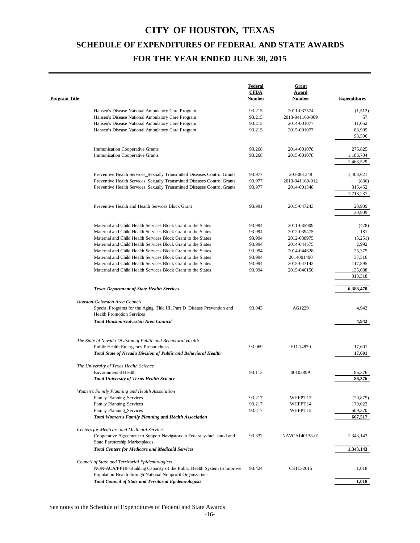| <b>Program Title</b> |                                                                                                                                                                                              | Federal<br><b>CFDA</b><br><b>Number</b> | Grant<br>Award<br><u>Number</u> | <b>Expenditures</b> |
|----------------------|----------------------------------------------------------------------------------------------------------------------------------------------------------------------------------------------|-----------------------------------------|---------------------------------|---------------------|
|                      | Hansen's Disease National Ambulatory Care Program                                                                                                                                            | 93.215                                  | 2011-037574                     | (1, 512)            |
|                      | Hansen's Disease National Ambulatory Care Program                                                                                                                                            | 93.215                                  | 2013-041160-009                 | 57                  |
|                      | Hansen's Disease National Ambulatory Care Program                                                                                                                                            | 93.215                                  | 2014-001077                     | 11,052              |
|                      | Hansen's Disease National Ambulatory Care Program                                                                                                                                            | 93.215                                  | 2015-001077                     | 83,909              |
|                      |                                                                                                                                                                                              |                                         |                                 | 93,506              |
|                      |                                                                                                                                                                                              |                                         |                                 |                     |
|                      | <b>Immunization Cooperative Grants</b>                                                                                                                                                       | 93.268                                  | 2014-001078                     | 276,825             |
|                      | <b>Immunization Cooperative Grants</b>                                                                                                                                                       | 93.268                                  | 2015-001078                     | 1,186,704           |
|                      |                                                                                                                                                                                              |                                         |                                 | 1,463,529           |
|                      | Preventive Health Services_Sexually Transmitted Diseases Control Grants                                                                                                                      | 93.977                                  | 201-001348                      | 1,403,621           |
|                      | Preventive Health Services_Sexually Transmitted Diseases Control Grants                                                                                                                      | 93.977                                  | 2013-041160-012                 | (836)               |
|                      | Preventive Health Services_Sexually Transmitted Diseases Control Grants                                                                                                                      | 93.977                                  | 2014-001348                     | 315,452             |
|                      |                                                                                                                                                                                              |                                         |                                 | 1,718,237           |
|                      | Preventive Health and Health Services Block Grant                                                                                                                                            | 93.991                                  | 2015-047243                     | 20,909              |
|                      |                                                                                                                                                                                              |                                         |                                 | 20,909              |
|                      |                                                                                                                                                                                              |                                         |                                 |                     |
|                      | Maternal and Child Health Services Block Grant to the States                                                                                                                                 | 93.994                                  | 2011-035909                     | (478)               |
|                      | Maternal and Child Health Services Block Grant to the States                                                                                                                                 | 93.994                                  | 2012-039475                     | 181                 |
|                      | Maternal and Child Health Services Block Grant to the States                                                                                                                                 | 93.994                                  | 2012-038975                     | (5,251)             |
|                      | Maternal and Child Health Services Block Grant to the States                                                                                                                                 | 93.994                                  | 2014-044575                     | 2,992               |
|                      | Maternal and Child Health Services Block Grant to the States                                                                                                                                 | 93.994                                  | 2014-044628                     | 25,375              |
|                      | Maternal and Child Health Services Block Grant to the States                                                                                                                                 | 93.994                                  | 2014001490                      | 37,516              |
|                      | Maternal and Child Health Services Block Grant to the States                                                                                                                                 | 93.994                                  | 2015-047142                     | 117,895             |
|                      | Maternal and Child Health Services Block Grant to the States                                                                                                                                 | 93.994                                  | 2015-046150                     | 135,088             |
|                      |                                                                                                                                                                                              |                                         |                                 | 313,318             |
|                      | <b>Texas Department of State Health Services</b>                                                                                                                                             |                                         |                                 | 6,388,470           |
|                      | Houston-Galveston Area Council<br>Special Programs for the Aging_Title III, Part D_Disease Prevention and<br><b>Health Promotion Services</b><br><b>Total Houston-Galveston Area Council</b> | 93.043                                  | AG1229                          | 4,942<br>4.942      |
|                      | The State of Nevada Division of Public and Behavioral Health<br>Public Health Emergency Preparedness<br>Total State of Nevada Division of Public and Behavioral Health                       | 93.069                                  | HD-14879                        | 17,601<br>17,601    |
|                      | The University of Texas Health Science                                                                                                                                                       |                                         |                                 |                     |
|                      | <b>Environmental Health</b>                                                                                                                                                                  | 93.113                                  | 0010389A                        | 86,376              |
|                      | <b>Total University of Texas Health Science</b>                                                                                                                                              |                                         |                                 | 86,376              |
|                      | Women's Family Planning and Health Association                                                                                                                                               |                                         |                                 |                     |
|                      | Family Planning_Services                                                                                                                                                                     | 93.217                                  | WHFPT13                         | (20, 875)           |
|                      | Family Planning_Services                                                                                                                                                                     | 93.217                                  | WHFPT14                         | 179,022             |
|                      | Family Planning_Services                                                                                                                                                                     | 93.217                                  | WHFPT15                         | 509,370             |
|                      | Total Women's Family Planning and Health Association                                                                                                                                         |                                         |                                 | 667,517             |
|                      |                                                                                                                                                                                              |                                         |                                 |                     |
|                      | Centers for Medicare and Medicaid Services<br>Cooperative Agreement to Support Navigators in Federally-facillitated and<br><b>State Partnership Marketplaces</b>                             | 93.332                                  | NAVCA140138-01                  | 1,343,143           |
|                      | <b>Total Centers for Medicare and Medicaid Services</b>                                                                                                                                      |                                         |                                 | 1,343,143           |
|                      | Council of State and Territorial Epidemiologists                                                                                                                                             |                                         |                                 |                     |
|                      | NON-ACA/PPHF-Building Capacity of the Public Health System to Improve<br>Population Health through National Nonprofit Organizations                                                          | 93.424                                  | <b>CSTE-2015</b>                | 1,018               |
|                      | <b>Total Council of State and Territorial Epidemiologists</b>                                                                                                                                |                                         |                                 | 1,018               |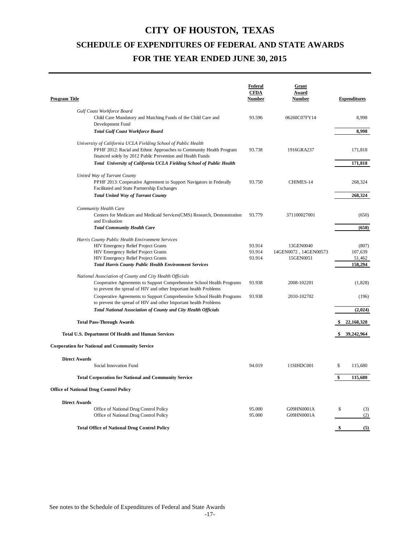| Program Title                                                                                                                                                                                       | Federal<br><b>CFDA</b><br>Number | Grant<br>Award<br>Number | <b>Expenditures</b> |
|-----------------------------------------------------------------------------------------------------------------------------------------------------------------------------------------------------|----------------------------------|--------------------------|---------------------|
| Gulf Coast Workforce Board                                                                                                                                                                          |                                  |                          |                     |
| Child Care Mandatory and Matching Funds of the Child Care and                                                                                                                                       | 93.596                           | 06260C07FY14             | 8,998               |
| Development Fund                                                                                                                                                                                    |                                  |                          |                     |
| <b>Total Gulf Coast Workforce Board</b>                                                                                                                                                             |                                  |                          | 8,998               |
| University of California UCLA Fielding School of Public Health<br>PPHF 2012: Racial and Ethnic Approaches to Community Health Program<br>financed solely by 2012 Public Prevention and Health Funds | 93.738                           | 1916GRA237               | 171,818             |
| Total University of California UCLA Fielding School of Public Health                                                                                                                                |                                  |                          | 171,818             |
|                                                                                                                                                                                                     |                                  |                          |                     |
| United Way of Tarrant County<br>PPHF 2013: Cooperative Agreement to Support Navigators in Federally<br>Facilitated and State Partnership Exchanges                                                  | 93.750                           | CHIMES-14                | 268,324             |
| <b>Total United Way of Tarrant County</b>                                                                                                                                                           |                                  |                          | 268,324             |
|                                                                                                                                                                                                     |                                  |                          |                     |
| Community Health Care<br>Centers for Medicare and Medicaid Services(CMS) Research, Demonstration<br>and Evaluation                                                                                  | 93.779                           | 371100027001             | (650)               |
| <b>Total Community Health Care</b>                                                                                                                                                                  |                                  |                          | (650)               |
| Harris County Public Health Environment Services                                                                                                                                                    |                                  |                          |                     |
| <b>HIV Emergency Relief Project Grants</b>                                                                                                                                                          | 93.914                           | 13GEN0040                | (807)               |
| <b>HIV Emergency Relief Project Grants</b>                                                                                                                                                          | 93.914                           | 14GEN0072, 14GEN00573    | 107,639             |
| <b>HIV Emergency Relief Project Grants</b>                                                                                                                                                          | 93.914                           | 15GEN0051                | 51,462              |
| <b>Total Harris County Public Health Environment Services</b>                                                                                                                                       |                                  |                          | 158,294             |
| National Association of County and City Health Officials                                                                                                                                            |                                  |                          |                     |
| Cooperative Agreements to Support Comprehensive School Health Programs<br>to prevent the spread of HIV and other Important health Problems                                                          | 93.938                           | 2008-102201              | (1, 828)            |
| Cooperative Agreements to Support Comprehensive School Health Programs<br>to prevent the spread of HIV and other Important health Problems                                                          | 93.938                           | 2010-102702              | (196)               |
| <b>Total National Association of County and City Health Officials</b>                                                                                                                               |                                  |                          | (2,024)             |
| <b>Total Pass-Through Awards</b>                                                                                                                                                                    |                                  |                          | \$22,168,328        |
| Total U.S. Department Of Health and Human Services                                                                                                                                                  |                                  |                          | 39,242,964<br>\$    |
| <b>Corporation for National and Community Service</b>                                                                                                                                               |                                  |                          |                     |
| <b>Direct Awards</b>                                                                                                                                                                                |                                  |                          |                     |
| Social Innovation Fund                                                                                                                                                                              | 94.019                           | 11SIHDC001               | \$<br>115,680       |
| <b>Total Corporation for National and Community Service</b>                                                                                                                                         |                                  |                          | \$<br>115,680       |
| <b>Office of National Drug Control Policy</b>                                                                                                                                                       |                                  |                          |                     |
| <b>Direct Awards</b>                                                                                                                                                                                |                                  |                          |                     |
| Office of National Drug Control Policy                                                                                                                                                              | 95.000                           | G09HN0001A               | \$<br>(3)           |
| Office of National Drug Control Policy                                                                                                                                                              | 95.000                           | G09HN0001A               | (2)                 |
|                                                                                                                                                                                                     |                                  |                          |                     |
| <b>Total Office of National Drug Control Policy</b>                                                                                                                                                 |                                  |                          | \$<br>(5)           |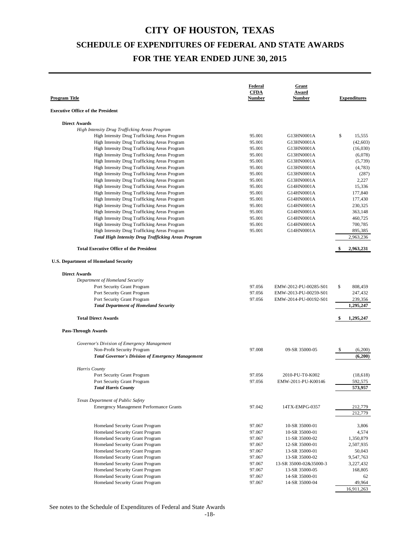| <b>Executive Office of the President</b><br><b>Direct Awards</b><br>High Intensity Drug Trafficking Areas Program<br>\$<br>95.001<br>High Intensity Drug Trafficking Areas Program<br>G13HN0001A<br>15,555<br>High Intensity Drug Trafficking Areas Program<br>95.001<br>(42, 603)<br>G13HN0001A<br>High Intensity Drug Trafficking Areas Program<br>95.001<br>G13HN0001A<br>(16,030)<br>High Intensity Drug Trafficking Areas Program<br>95.001<br>G13HN0001A<br>(6,078)<br>High Intensity Drug Trafficking Areas Program<br>95.001<br>G13HN0001A<br>(5, 739)<br>High Intensity Drug Trafficking Areas Program<br>95.001<br>G13HN0001A<br>(4, 783)<br>High Intensity Drug Trafficking Areas Program<br>95.001<br>G13HN0001A<br>(287)<br>High Intensity Drug Trafficking Areas Program<br>2,227<br>95.001<br>G13HN0001A<br>High Intensity Drug Trafficking Areas Program<br>15,336<br>95.001<br>G14HN0001A<br>177,840<br>High Intensity Drug Trafficking Areas Program<br>95.001<br>G14HN0001A<br>95.001<br>177,430<br>High Intensity Drug Trafficking Areas Program<br>G14HN0001A<br>230,325<br>High Intensity Drug Trafficking Areas Program<br>95.001<br>G14HN0001A<br>363,148<br>High Intensity Drug Trafficking Areas Program<br>95.001<br>G14HN0001A<br>460,725<br>High Intensity Drug Trafficking Areas Program<br>95.001<br>G14HN0001A<br>95.001<br>700,785<br>High Intensity Drug Trafficking Areas Program<br>G14HN0001A<br>High Intensity Drug Trafficking Areas Program<br>95.001<br>G14HN0001A<br>895,385<br>2,963,236<br><b>Total High Intensity Drug Trafficking Areas Program</b><br><b>Total Executive Office of the President</b><br>2,963,231<br><b>U.S. Department of Homeland Security</b><br><b>Direct Awards</b><br>Department of Homeland Security<br>Port Security Grant Program<br>97.056<br>\$<br>808,459<br>EMW-2012-PU-00285-S01<br>Port Security Grant Program<br>97.056<br>247,432<br>EMW-2013-PU-00259-S01<br>Port Security Grant Program<br>97.056<br>239,356<br>EMW-2014-PU-00192-S01<br>1,295,247<br><b>Total Department of Homeland Security</b><br><b>Total Direct Awards</b><br>1,295,247<br><b>Pass-Through Awards</b><br>Governor's Division of Emergency Management<br>97.008<br>Non-Profit Security Program<br>09-SR 35000-05<br>\$<br>(6,200)<br><b>Total Governor's Division of Emergency Management</b><br>(6,200)<br>Harris County<br>97.056<br>Port Security Grant Program<br>2010-PU-T0-K002<br>(18, 618)<br>Port Security Grant Program<br>97.056<br>EMW-2011-PU-K00146<br>592,575<br>573,957<br><b>Total Harris County</b><br>Texas Department of Public Safety<br>97.042<br><b>Emergency Management Performance Grants</b><br>14TX-EMPG-0357<br>212,779<br>212,779<br>Homeland Security Grant Program<br>97.067<br>3,806<br>10-SR 35000-01<br>Homeland Security Grant Program<br>97.067<br>10-SR 35000-01<br>4,574<br>Homeland Security Grant Program<br>97.067<br>1,350,879<br>11-SR 35000-02<br>Homeland Security Grant Program<br>97.067<br>2,507,935<br>12-SR 35000-01<br>Homeland Security Grant Program<br>50,043<br>97.067<br>13-SR 35000-01<br>9,547,763<br>Homeland Security Grant Program<br>97.067<br>13-SR 35000-02<br>Homeland Security Grant Program<br>3,227,432<br>97.067<br>13-SR 35000-02&35000-3<br>Homeland Security Grant Program<br>97.067<br>168,805<br>13-SR 35000-05<br>97.067<br>Homeland Security Grant Program<br>14-SR 35000-01<br>62<br>Homeland Security Grant Program<br>97.067<br>49,964<br>14-SR 35000-04<br>16,911,263 | <b>Program Title</b> | Federal<br><b>CFDA</b><br>Number | Grant<br>Award<br><b>Number</b> | <b>Expenditures</b> |
|--------------------------------------------------------------------------------------------------------------------------------------------------------------------------------------------------------------------------------------------------------------------------------------------------------------------------------------------------------------------------------------------------------------------------------------------------------------------------------------------------------------------------------------------------------------------------------------------------------------------------------------------------------------------------------------------------------------------------------------------------------------------------------------------------------------------------------------------------------------------------------------------------------------------------------------------------------------------------------------------------------------------------------------------------------------------------------------------------------------------------------------------------------------------------------------------------------------------------------------------------------------------------------------------------------------------------------------------------------------------------------------------------------------------------------------------------------------------------------------------------------------------------------------------------------------------------------------------------------------------------------------------------------------------------------------------------------------------------------------------------------------------------------------------------------------------------------------------------------------------------------------------------------------------------------------------------------------------------------------------------------------------------------------------------------------------------------------------------------------------------------------------------------------------------------------------------------------------------------------------------------------------------------------------------------------------------------------------------------------------------------------------------------------------------------------------------------------------------------------------------------------------------------------------------------------------------------------------------------------------------------------------------------------------------------------------------------------------------------------------------------------------------------------------------------------------------------------------------------------------------------------------------------------------------------------------------------------------------------------------------------------------------------------------------------------------------------------------------------------------------------------------------------------------------------------------------------------------------------------------------------------------------------------------------------------------------------------------------------------------------------------------------------------------------------------------------------------------------------------------------------------|----------------------|----------------------------------|---------------------------------|---------------------|
|                                                                                                                                                                                                                                                                                                                                                                                                                                                                                                                                                                                                                                                                                                                                                                                                                                                                                                                                                                                                                                                                                                                                                                                                                                                                                                                                                                                                                                                                                                                                                                                                                                                                                                                                                                                                                                                                                                                                                                                                                                                                                                                                                                                                                                                                                                                                                                                                                                                                                                                                                                                                                                                                                                                                                                                                                                                                                                                                                                                                                                                                                                                                                                                                                                                                                                                                                                                                                                                                                                              |                      |                                  |                                 |                     |
|                                                                                                                                                                                                                                                                                                                                                                                                                                                                                                                                                                                                                                                                                                                                                                                                                                                                                                                                                                                                                                                                                                                                                                                                                                                                                                                                                                                                                                                                                                                                                                                                                                                                                                                                                                                                                                                                                                                                                                                                                                                                                                                                                                                                                                                                                                                                                                                                                                                                                                                                                                                                                                                                                                                                                                                                                                                                                                                                                                                                                                                                                                                                                                                                                                                                                                                                                                                                                                                                                                              |                      |                                  |                                 |                     |
|                                                                                                                                                                                                                                                                                                                                                                                                                                                                                                                                                                                                                                                                                                                                                                                                                                                                                                                                                                                                                                                                                                                                                                                                                                                                                                                                                                                                                                                                                                                                                                                                                                                                                                                                                                                                                                                                                                                                                                                                                                                                                                                                                                                                                                                                                                                                                                                                                                                                                                                                                                                                                                                                                                                                                                                                                                                                                                                                                                                                                                                                                                                                                                                                                                                                                                                                                                                                                                                                                                              |                      |                                  |                                 |                     |
|                                                                                                                                                                                                                                                                                                                                                                                                                                                                                                                                                                                                                                                                                                                                                                                                                                                                                                                                                                                                                                                                                                                                                                                                                                                                                                                                                                                                                                                                                                                                                                                                                                                                                                                                                                                                                                                                                                                                                                                                                                                                                                                                                                                                                                                                                                                                                                                                                                                                                                                                                                                                                                                                                                                                                                                                                                                                                                                                                                                                                                                                                                                                                                                                                                                                                                                                                                                                                                                                                                              |                      |                                  |                                 |                     |
|                                                                                                                                                                                                                                                                                                                                                                                                                                                                                                                                                                                                                                                                                                                                                                                                                                                                                                                                                                                                                                                                                                                                                                                                                                                                                                                                                                                                                                                                                                                                                                                                                                                                                                                                                                                                                                                                                                                                                                                                                                                                                                                                                                                                                                                                                                                                                                                                                                                                                                                                                                                                                                                                                                                                                                                                                                                                                                                                                                                                                                                                                                                                                                                                                                                                                                                                                                                                                                                                                                              |                      |                                  |                                 |                     |
|                                                                                                                                                                                                                                                                                                                                                                                                                                                                                                                                                                                                                                                                                                                                                                                                                                                                                                                                                                                                                                                                                                                                                                                                                                                                                                                                                                                                                                                                                                                                                                                                                                                                                                                                                                                                                                                                                                                                                                                                                                                                                                                                                                                                                                                                                                                                                                                                                                                                                                                                                                                                                                                                                                                                                                                                                                                                                                                                                                                                                                                                                                                                                                                                                                                                                                                                                                                                                                                                                                              |                      |                                  |                                 |                     |
|                                                                                                                                                                                                                                                                                                                                                                                                                                                                                                                                                                                                                                                                                                                                                                                                                                                                                                                                                                                                                                                                                                                                                                                                                                                                                                                                                                                                                                                                                                                                                                                                                                                                                                                                                                                                                                                                                                                                                                                                                                                                                                                                                                                                                                                                                                                                                                                                                                                                                                                                                                                                                                                                                                                                                                                                                                                                                                                                                                                                                                                                                                                                                                                                                                                                                                                                                                                                                                                                                                              |                      |                                  |                                 |                     |
|                                                                                                                                                                                                                                                                                                                                                                                                                                                                                                                                                                                                                                                                                                                                                                                                                                                                                                                                                                                                                                                                                                                                                                                                                                                                                                                                                                                                                                                                                                                                                                                                                                                                                                                                                                                                                                                                                                                                                                                                                                                                                                                                                                                                                                                                                                                                                                                                                                                                                                                                                                                                                                                                                                                                                                                                                                                                                                                                                                                                                                                                                                                                                                                                                                                                                                                                                                                                                                                                                                              |                      |                                  |                                 |                     |
|                                                                                                                                                                                                                                                                                                                                                                                                                                                                                                                                                                                                                                                                                                                                                                                                                                                                                                                                                                                                                                                                                                                                                                                                                                                                                                                                                                                                                                                                                                                                                                                                                                                                                                                                                                                                                                                                                                                                                                                                                                                                                                                                                                                                                                                                                                                                                                                                                                                                                                                                                                                                                                                                                                                                                                                                                                                                                                                                                                                                                                                                                                                                                                                                                                                                                                                                                                                                                                                                                                              |                      |                                  |                                 |                     |
|                                                                                                                                                                                                                                                                                                                                                                                                                                                                                                                                                                                                                                                                                                                                                                                                                                                                                                                                                                                                                                                                                                                                                                                                                                                                                                                                                                                                                                                                                                                                                                                                                                                                                                                                                                                                                                                                                                                                                                                                                                                                                                                                                                                                                                                                                                                                                                                                                                                                                                                                                                                                                                                                                                                                                                                                                                                                                                                                                                                                                                                                                                                                                                                                                                                                                                                                                                                                                                                                                                              |                      |                                  |                                 |                     |
|                                                                                                                                                                                                                                                                                                                                                                                                                                                                                                                                                                                                                                                                                                                                                                                                                                                                                                                                                                                                                                                                                                                                                                                                                                                                                                                                                                                                                                                                                                                                                                                                                                                                                                                                                                                                                                                                                                                                                                                                                                                                                                                                                                                                                                                                                                                                                                                                                                                                                                                                                                                                                                                                                                                                                                                                                                                                                                                                                                                                                                                                                                                                                                                                                                                                                                                                                                                                                                                                                                              |                      |                                  |                                 |                     |
|                                                                                                                                                                                                                                                                                                                                                                                                                                                                                                                                                                                                                                                                                                                                                                                                                                                                                                                                                                                                                                                                                                                                                                                                                                                                                                                                                                                                                                                                                                                                                                                                                                                                                                                                                                                                                                                                                                                                                                                                                                                                                                                                                                                                                                                                                                                                                                                                                                                                                                                                                                                                                                                                                                                                                                                                                                                                                                                                                                                                                                                                                                                                                                                                                                                                                                                                                                                                                                                                                                              |                      |                                  |                                 |                     |
|                                                                                                                                                                                                                                                                                                                                                                                                                                                                                                                                                                                                                                                                                                                                                                                                                                                                                                                                                                                                                                                                                                                                                                                                                                                                                                                                                                                                                                                                                                                                                                                                                                                                                                                                                                                                                                                                                                                                                                                                                                                                                                                                                                                                                                                                                                                                                                                                                                                                                                                                                                                                                                                                                                                                                                                                                                                                                                                                                                                                                                                                                                                                                                                                                                                                                                                                                                                                                                                                                                              |                      |                                  |                                 |                     |
|                                                                                                                                                                                                                                                                                                                                                                                                                                                                                                                                                                                                                                                                                                                                                                                                                                                                                                                                                                                                                                                                                                                                                                                                                                                                                                                                                                                                                                                                                                                                                                                                                                                                                                                                                                                                                                                                                                                                                                                                                                                                                                                                                                                                                                                                                                                                                                                                                                                                                                                                                                                                                                                                                                                                                                                                                                                                                                                                                                                                                                                                                                                                                                                                                                                                                                                                                                                                                                                                                                              |                      |                                  |                                 |                     |
|                                                                                                                                                                                                                                                                                                                                                                                                                                                                                                                                                                                                                                                                                                                                                                                                                                                                                                                                                                                                                                                                                                                                                                                                                                                                                                                                                                                                                                                                                                                                                                                                                                                                                                                                                                                                                                                                                                                                                                                                                                                                                                                                                                                                                                                                                                                                                                                                                                                                                                                                                                                                                                                                                                                                                                                                                                                                                                                                                                                                                                                                                                                                                                                                                                                                                                                                                                                                                                                                                                              |                      |                                  |                                 |                     |
|                                                                                                                                                                                                                                                                                                                                                                                                                                                                                                                                                                                                                                                                                                                                                                                                                                                                                                                                                                                                                                                                                                                                                                                                                                                                                                                                                                                                                                                                                                                                                                                                                                                                                                                                                                                                                                                                                                                                                                                                                                                                                                                                                                                                                                                                                                                                                                                                                                                                                                                                                                                                                                                                                                                                                                                                                                                                                                                                                                                                                                                                                                                                                                                                                                                                                                                                                                                                                                                                                                              |                      |                                  |                                 |                     |
|                                                                                                                                                                                                                                                                                                                                                                                                                                                                                                                                                                                                                                                                                                                                                                                                                                                                                                                                                                                                                                                                                                                                                                                                                                                                                                                                                                                                                                                                                                                                                                                                                                                                                                                                                                                                                                                                                                                                                                                                                                                                                                                                                                                                                                                                                                                                                                                                                                                                                                                                                                                                                                                                                                                                                                                                                                                                                                                                                                                                                                                                                                                                                                                                                                                                                                                                                                                                                                                                                                              |                      |                                  |                                 |                     |
|                                                                                                                                                                                                                                                                                                                                                                                                                                                                                                                                                                                                                                                                                                                                                                                                                                                                                                                                                                                                                                                                                                                                                                                                                                                                                                                                                                                                                                                                                                                                                                                                                                                                                                                                                                                                                                                                                                                                                                                                                                                                                                                                                                                                                                                                                                                                                                                                                                                                                                                                                                                                                                                                                                                                                                                                                                                                                                                                                                                                                                                                                                                                                                                                                                                                                                                                                                                                                                                                                                              |                      |                                  |                                 |                     |
|                                                                                                                                                                                                                                                                                                                                                                                                                                                                                                                                                                                                                                                                                                                                                                                                                                                                                                                                                                                                                                                                                                                                                                                                                                                                                                                                                                                                                                                                                                                                                                                                                                                                                                                                                                                                                                                                                                                                                                                                                                                                                                                                                                                                                                                                                                                                                                                                                                                                                                                                                                                                                                                                                                                                                                                                                                                                                                                                                                                                                                                                                                                                                                                                                                                                                                                                                                                                                                                                                                              |                      |                                  |                                 |                     |
|                                                                                                                                                                                                                                                                                                                                                                                                                                                                                                                                                                                                                                                                                                                                                                                                                                                                                                                                                                                                                                                                                                                                                                                                                                                                                                                                                                                                                                                                                                                                                                                                                                                                                                                                                                                                                                                                                                                                                                                                                                                                                                                                                                                                                                                                                                                                                                                                                                                                                                                                                                                                                                                                                                                                                                                                                                                                                                                                                                                                                                                                                                                                                                                                                                                                                                                                                                                                                                                                                                              |                      |                                  |                                 |                     |
|                                                                                                                                                                                                                                                                                                                                                                                                                                                                                                                                                                                                                                                                                                                                                                                                                                                                                                                                                                                                                                                                                                                                                                                                                                                                                                                                                                                                                                                                                                                                                                                                                                                                                                                                                                                                                                                                                                                                                                                                                                                                                                                                                                                                                                                                                                                                                                                                                                                                                                                                                                                                                                                                                                                                                                                                                                                                                                                                                                                                                                                                                                                                                                                                                                                                                                                                                                                                                                                                                                              |                      |                                  |                                 |                     |
|                                                                                                                                                                                                                                                                                                                                                                                                                                                                                                                                                                                                                                                                                                                                                                                                                                                                                                                                                                                                                                                                                                                                                                                                                                                                                                                                                                                                                                                                                                                                                                                                                                                                                                                                                                                                                                                                                                                                                                                                                                                                                                                                                                                                                                                                                                                                                                                                                                                                                                                                                                                                                                                                                                                                                                                                                                                                                                                                                                                                                                                                                                                                                                                                                                                                                                                                                                                                                                                                                                              |                      |                                  |                                 |                     |
|                                                                                                                                                                                                                                                                                                                                                                                                                                                                                                                                                                                                                                                                                                                                                                                                                                                                                                                                                                                                                                                                                                                                                                                                                                                                                                                                                                                                                                                                                                                                                                                                                                                                                                                                                                                                                                                                                                                                                                                                                                                                                                                                                                                                                                                                                                                                                                                                                                                                                                                                                                                                                                                                                                                                                                                                                                                                                                                                                                                                                                                                                                                                                                                                                                                                                                                                                                                                                                                                                                              |                      |                                  |                                 |                     |
|                                                                                                                                                                                                                                                                                                                                                                                                                                                                                                                                                                                                                                                                                                                                                                                                                                                                                                                                                                                                                                                                                                                                                                                                                                                                                                                                                                                                                                                                                                                                                                                                                                                                                                                                                                                                                                                                                                                                                                                                                                                                                                                                                                                                                                                                                                                                                                                                                                                                                                                                                                                                                                                                                                                                                                                                                                                                                                                                                                                                                                                                                                                                                                                                                                                                                                                                                                                                                                                                                                              |                      |                                  |                                 |                     |
|                                                                                                                                                                                                                                                                                                                                                                                                                                                                                                                                                                                                                                                                                                                                                                                                                                                                                                                                                                                                                                                                                                                                                                                                                                                                                                                                                                                                                                                                                                                                                                                                                                                                                                                                                                                                                                                                                                                                                                                                                                                                                                                                                                                                                                                                                                                                                                                                                                                                                                                                                                                                                                                                                                                                                                                                                                                                                                                                                                                                                                                                                                                                                                                                                                                                                                                                                                                                                                                                                                              |                      |                                  |                                 |                     |
|                                                                                                                                                                                                                                                                                                                                                                                                                                                                                                                                                                                                                                                                                                                                                                                                                                                                                                                                                                                                                                                                                                                                                                                                                                                                                                                                                                                                                                                                                                                                                                                                                                                                                                                                                                                                                                                                                                                                                                                                                                                                                                                                                                                                                                                                                                                                                                                                                                                                                                                                                                                                                                                                                                                                                                                                                                                                                                                                                                                                                                                                                                                                                                                                                                                                                                                                                                                                                                                                                                              |                      |                                  |                                 |                     |
|                                                                                                                                                                                                                                                                                                                                                                                                                                                                                                                                                                                                                                                                                                                                                                                                                                                                                                                                                                                                                                                                                                                                                                                                                                                                                                                                                                                                                                                                                                                                                                                                                                                                                                                                                                                                                                                                                                                                                                                                                                                                                                                                                                                                                                                                                                                                                                                                                                                                                                                                                                                                                                                                                                                                                                                                                                                                                                                                                                                                                                                                                                                                                                                                                                                                                                                                                                                                                                                                                                              |                      |                                  |                                 |                     |
|                                                                                                                                                                                                                                                                                                                                                                                                                                                                                                                                                                                                                                                                                                                                                                                                                                                                                                                                                                                                                                                                                                                                                                                                                                                                                                                                                                                                                                                                                                                                                                                                                                                                                                                                                                                                                                                                                                                                                                                                                                                                                                                                                                                                                                                                                                                                                                                                                                                                                                                                                                                                                                                                                                                                                                                                                                                                                                                                                                                                                                                                                                                                                                                                                                                                                                                                                                                                                                                                                                              |                      |                                  |                                 |                     |
|                                                                                                                                                                                                                                                                                                                                                                                                                                                                                                                                                                                                                                                                                                                                                                                                                                                                                                                                                                                                                                                                                                                                                                                                                                                                                                                                                                                                                                                                                                                                                                                                                                                                                                                                                                                                                                                                                                                                                                                                                                                                                                                                                                                                                                                                                                                                                                                                                                                                                                                                                                                                                                                                                                                                                                                                                                                                                                                                                                                                                                                                                                                                                                                                                                                                                                                                                                                                                                                                                                              |                      |                                  |                                 |                     |
|                                                                                                                                                                                                                                                                                                                                                                                                                                                                                                                                                                                                                                                                                                                                                                                                                                                                                                                                                                                                                                                                                                                                                                                                                                                                                                                                                                                                                                                                                                                                                                                                                                                                                                                                                                                                                                                                                                                                                                                                                                                                                                                                                                                                                                                                                                                                                                                                                                                                                                                                                                                                                                                                                                                                                                                                                                                                                                                                                                                                                                                                                                                                                                                                                                                                                                                                                                                                                                                                                                              |                      |                                  |                                 |                     |
|                                                                                                                                                                                                                                                                                                                                                                                                                                                                                                                                                                                                                                                                                                                                                                                                                                                                                                                                                                                                                                                                                                                                                                                                                                                                                                                                                                                                                                                                                                                                                                                                                                                                                                                                                                                                                                                                                                                                                                                                                                                                                                                                                                                                                                                                                                                                                                                                                                                                                                                                                                                                                                                                                                                                                                                                                                                                                                                                                                                                                                                                                                                                                                                                                                                                                                                                                                                                                                                                                                              |                      |                                  |                                 |                     |
|                                                                                                                                                                                                                                                                                                                                                                                                                                                                                                                                                                                                                                                                                                                                                                                                                                                                                                                                                                                                                                                                                                                                                                                                                                                                                                                                                                                                                                                                                                                                                                                                                                                                                                                                                                                                                                                                                                                                                                                                                                                                                                                                                                                                                                                                                                                                                                                                                                                                                                                                                                                                                                                                                                                                                                                                                                                                                                                                                                                                                                                                                                                                                                                                                                                                                                                                                                                                                                                                                                              |                      |                                  |                                 |                     |
|                                                                                                                                                                                                                                                                                                                                                                                                                                                                                                                                                                                                                                                                                                                                                                                                                                                                                                                                                                                                                                                                                                                                                                                                                                                                                                                                                                                                                                                                                                                                                                                                                                                                                                                                                                                                                                                                                                                                                                                                                                                                                                                                                                                                                                                                                                                                                                                                                                                                                                                                                                                                                                                                                                                                                                                                                                                                                                                                                                                                                                                                                                                                                                                                                                                                                                                                                                                                                                                                                                              |                      |                                  |                                 |                     |
|                                                                                                                                                                                                                                                                                                                                                                                                                                                                                                                                                                                                                                                                                                                                                                                                                                                                                                                                                                                                                                                                                                                                                                                                                                                                                                                                                                                                                                                                                                                                                                                                                                                                                                                                                                                                                                                                                                                                                                                                                                                                                                                                                                                                                                                                                                                                                                                                                                                                                                                                                                                                                                                                                                                                                                                                                                                                                                                                                                                                                                                                                                                                                                                                                                                                                                                                                                                                                                                                                                              |                      |                                  |                                 |                     |
|                                                                                                                                                                                                                                                                                                                                                                                                                                                                                                                                                                                                                                                                                                                                                                                                                                                                                                                                                                                                                                                                                                                                                                                                                                                                                                                                                                                                                                                                                                                                                                                                                                                                                                                                                                                                                                                                                                                                                                                                                                                                                                                                                                                                                                                                                                                                                                                                                                                                                                                                                                                                                                                                                                                                                                                                                                                                                                                                                                                                                                                                                                                                                                                                                                                                                                                                                                                                                                                                                                              |                      |                                  |                                 |                     |
|                                                                                                                                                                                                                                                                                                                                                                                                                                                                                                                                                                                                                                                                                                                                                                                                                                                                                                                                                                                                                                                                                                                                                                                                                                                                                                                                                                                                                                                                                                                                                                                                                                                                                                                                                                                                                                                                                                                                                                                                                                                                                                                                                                                                                                                                                                                                                                                                                                                                                                                                                                                                                                                                                                                                                                                                                                                                                                                                                                                                                                                                                                                                                                                                                                                                                                                                                                                                                                                                                                              |                      |                                  |                                 |                     |
|                                                                                                                                                                                                                                                                                                                                                                                                                                                                                                                                                                                                                                                                                                                                                                                                                                                                                                                                                                                                                                                                                                                                                                                                                                                                                                                                                                                                                                                                                                                                                                                                                                                                                                                                                                                                                                                                                                                                                                                                                                                                                                                                                                                                                                                                                                                                                                                                                                                                                                                                                                                                                                                                                                                                                                                                                                                                                                                                                                                                                                                                                                                                                                                                                                                                                                                                                                                                                                                                                                              |                      |                                  |                                 |                     |
|                                                                                                                                                                                                                                                                                                                                                                                                                                                                                                                                                                                                                                                                                                                                                                                                                                                                                                                                                                                                                                                                                                                                                                                                                                                                                                                                                                                                                                                                                                                                                                                                                                                                                                                                                                                                                                                                                                                                                                                                                                                                                                                                                                                                                                                                                                                                                                                                                                                                                                                                                                                                                                                                                                                                                                                                                                                                                                                                                                                                                                                                                                                                                                                                                                                                                                                                                                                                                                                                                                              |                      |                                  |                                 |                     |
|                                                                                                                                                                                                                                                                                                                                                                                                                                                                                                                                                                                                                                                                                                                                                                                                                                                                                                                                                                                                                                                                                                                                                                                                                                                                                                                                                                                                                                                                                                                                                                                                                                                                                                                                                                                                                                                                                                                                                                                                                                                                                                                                                                                                                                                                                                                                                                                                                                                                                                                                                                                                                                                                                                                                                                                                                                                                                                                                                                                                                                                                                                                                                                                                                                                                                                                                                                                                                                                                                                              |                      |                                  |                                 |                     |
|                                                                                                                                                                                                                                                                                                                                                                                                                                                                                                                                                                                                                                                                                                                                                                                                                                                                                                                                                                                                                                                                                                                                                                                                                                                                                                                                                                                                                                                                                                                                                                                                                                                                                                                                                                                                                                                                                                                                                                                                                                                                                                                                                                                                                                                                                                                                                                                                                                                                                                                                                                                                                                                                                                                                                                                                                                                                                                                                                                                                                                                                                                                                                                                                                                                                                                                                                                                                                                                                                                              |                      |                                  |                                 |                     |
|                                                                                                                                                                                                                                                                                                                                                                                                                                                                                                                                                                                                                                                                                                                                                                                                                                                                                                                                                                                                                                                                                                                                                                                                                                                                                                                                                                                                                                                                                                                                                                                                                                                                                                                                                                                                                                                                                                                                                                                                                                                                                                                                                                                                                                                                                                                                                                                                                                                                                                                                                                                                                                                                                                                                                                                                                                                                                                                                                                                                                                                                                                                                                                                                                                                                                                                                                                                                                                                                                                              |                      |                                  |                                 |                     |
|                                                                                                                                                                                                                                                                                                                                                                                                                                                                                                                                                                                                                                                                                                                                                                                                                                                                                                                                                                                                                                                                                                                                                                                                                                                                                                                                                                                                                                                                                                                                                                                                                                                                                                                                                                                                                                                                                                                                                                                                                                                                                                                                                                                                                                                                                                                                                                                                                                                                                                                                                                                                                                                                                                                                                                                                                                                                                                                                                                                                                                                                                                                                                                                                                                                                                                                                                                                                                                                                                                              |                      |                                  |                                 |                     |
|                                                                                                                                                                                                                                                                                                                                                                                                                                                                                                                                                                                                                                                                                                                                                                                                                                                                                                                                                                                                                                                                                                                                                                                                                                                                                                                                                                                                                                                                                                                                                                                                                                                                                                                                                                                                                                                                                                                                                                                                                                                                                                                                                                                                                                                                                                                                                                                                                                                                                                                                                                                                                                                                                                                                                                                                                                                                                                                                                                                                                                                                                                                                                                                                                                                                                                                                                                                                                                                                                                              |                      |                                  |                                 |                     |
|                                                                                                                                                                                                                                                                                                                                                                                                                                                                                                                                                                                                                                                                                                                                                                                                                                                                                                                                                                                                                                                                                                                                                                                                                                                                                                                                                                                                                                                                                                                                                                                                                                                                                                                                                                                                                                                                                                                                                                                                                                                                                                                                                                                                                                                                                                                                                                                                                                                                                                                                                                                                                                                                                                                                                                                                                                                                                                                                                                                                                                                                                                                                                                                                                                                                                                                                                                                                                                                                                                              |                      |                                  |                                 |                     |
|                                                                                                                                                                                                                                                                                                                                                                                                                                                                                                                                                                                                                                                                                                                                                                                                                                                                                                                                                                                                                                                                                                                                                                                                                                                                                                                                                                                                                                                                                                                                                                                                                                                                                                                                                                                                                                                                                                                                                                                                                                                                                                                                                                                                                                                                                                                                                                                                                                                                                                                                                                                                                                                                                                                                                                                                                                                                                                                                                                                                                                                                                                                                                                                                                                                                                                                                                                                                                                                                                                              |                      |                                  |                                 |                     |
|                                                                                                                                                                                                                                                                                                                                                                                                                                                                                                                                                                                                                                                                                                                                                                                                                                                                                                                                                                                                                                                                                                                                                                                                                                                                                                                                                                                                                                                                                                                                                                                                                                                                                                                                                                                                                                                                                                                                                                                                                                                                                                                                                                                                                                                                                                                                                                                                                                                                                                                                                                                                                                                                                                                                                                                                                                                                                                                                                                                                                                                                                                                                                                                                                                                                                                                                                                                                                                                                                                              |                      |                                  |                                 |                     |
|                                                                                                                                                                                                                                                                                                                                                                                                                                                                                                                                                                                                                                                                                                                                                                                                                                                                                                                                                                                                                                                                                                                                                                                                                                                                                                                                                                                                                                                                                                                                                                                                                                                                                                                                                                                                                                                                                                                                                                                                                                                                                                                                                                                                                                                                                                                                                                                                                                                                                                                                                                                                                                                                                                                                                                                                                                                                                                                                                                                                                                                                                                                                                                                                                                                                                                                                                                                                                                                                                                              |                      |                                  |                                 |                     |
|                                                                                                                                                                                                                                                                                                                                                                                                                                                                                                                                                                                                                                                                                                                                                                                                                                                                                                                                                                                                                                                                                                                                                                                                                                                                                                                                                                                                                                                                                                                                                                                                                                                                                                                                                                                                                                                                                                                                                                                                                                                                                                                                                                                                                                                                                                                                                                                                                                                                                                                                                                                                                                                                                                                                                                                                                                                                                                                                                                                                                                                                                                                                                                                                                                                                                                                                                                                                                                                                                                              |                      |                                  |                                 |                     |
|                                                                                                                                                                                                                                                                                                                                                                                                                                                                                                                                                                                                                                                                                                                                                                                                                                                                                                                                                                                                                                                                                                                                                                                                                                                                                                                                                                                                                                                                                                                                                                                                                                                                                                                                                                                                                                                                                                                                                                                                                                                                                                                                                                                                                                                                                                                                                                                                                                                                                                                                                                                                                                                                                                                                                                                                                                                                                                                                                                                                                                                                                                                                                                                                                                                                                                                                                                                                                                                                                                              |                      |                                  |                                 |                     |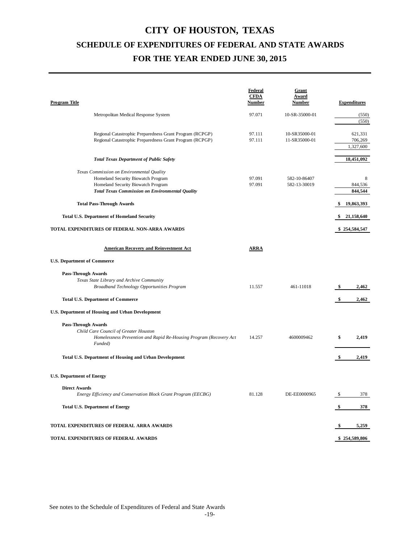| <b>Program Title</b>                                                                                                                                                                                                                                                                                                      | <b>Federal</b><br><b>CFDA</b><br><b>Number</b> | Grant<br>Award<br><b>Number</b> |          | <b>Expenditures</b>                                                  |
|---------------------------------------------------------------------------------------------------------------------------------------------------------------------------------------------------------------------------------------------------------------------------------------------------------------------------|------------------------------------------------|---------------------------------|----------|----------------------------------------------------------------------|
| Metropolitan Medical Response System                                                                                                                                                                                                                                                                                      | 97.071                                         | 10-SR-35000-01                  |          | (550)<br>(550)                                                       |
| Regional Catastrophic Preparedness Grant Program (RCPGP)<br>Regional Catastrophic Preparedness Grant Program (RCPGP)                                                                                                                                                                                                      | 97.111<br>97.111                               | 10-SR35000-01<br>11-SR35000-01  |          | 621,331<br>706,269<br>1,327,600                                      |
| <b>Total Texas Department of Public Safety</b>                                                                                                                                                                                                                                                                            |                                                |                                 |          | 18,451,092                                                           |
| Texas Commission on Environmental Quality<br>Homeland Security Biowatch Program<br>Homeland Security Biowatch Program<br><b>Total Texas Commission on Environmental Quality</b><br><b>Total Pass-Through Awards</b><br><b>Total U.S. Department of Homeland Security</b><br>TOTAL EXPENDITURES OF FEDERAL NON-ARRA AWARDS | 97.091<br>97.091                               | 582-10-86407<br>582-13-30019    | S<br>-S  | 8<br>844,536<br>844,544<br>19,863,393<br>21,158,640<br>\$254,584,547 |
| <b>American Recovery and Reinvestment Act</b>                                                                                                                                                                                                                                                                             | <b>ARRA</b>                                    |                                 |          |                                                                      |
| <b>U.S. Department of Commerce</b>                                                                                                                                                                                                                                                                                        |                                                |                                 |          |                                                                      |
| <b>Pass-Through Awards</b><br>Texas State Library and Archive Community<br>Broadband Technology Opportunities Program<br><b>Total U.S. Department of Commerce</b>                                                                                                                                                         | 11.557                                         | 461-11018                       | \$<br>\$ | 2,462<br>2,462                                                       |
| U.S. Department of Housing and Urban Development                                                                                                                                                                                                                                                                          |                                                |                                 |          |                                                                      |
| <b>Pass-Through Awards</b><br>Child Care Council of Greater Houston<br>Homelessness Prevention and Rapid Re-Housing Program (Recovery Act<br>Funded)                                                                                                                                                                      | 14.257                                         | 4600009462                      | \$       | 2,419                                                                |
| Total U.S. Department of Housing and Urban Development                                                                                                                                                                                                                                                                    |                                                |                                 | -S       | 2,419                                                                |
| <b>U.S. Department of Energy</b>                                                                                                                                                                                                                                                                                          |                                                |                                 |          |                                                                      |
| <b>Direct Awards</b><br>Energy Efficiency and Conservation Block Grant Program (EECBG)<br><b>Total U.S. Department of Energy</b>                                                                                                                                                                                          | 81.128                                         | DE-EE0000965                    | \$       | 378<br>378                                                           |
| TOTAL EXPENDITURES OF FEDERAL ARRA AWARDS                                                                                                                                                                                                                                                                                 |                                                |                                 |          | 5,259                                                                |
| TOTAL EXPENDITURES OF FEDERAL AWARDS                                                                                                                                                                                                                                                                                      |                                                |                                 |          | \$254,589,806                                                        |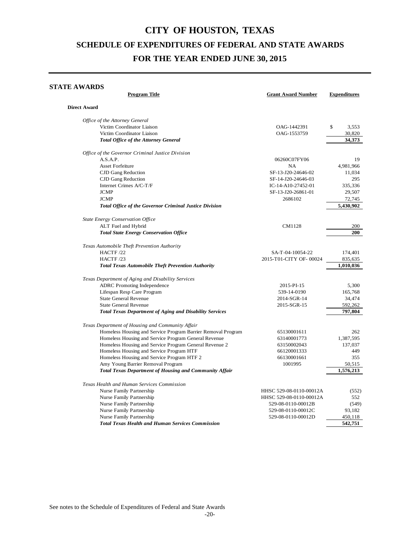#### **STATE AWARDS**

| <b>Program Title</b>                                           | <b>Grant Award Number</b> | <b>Expenditures</b> |
|----------------------------------------------------------------|---------------------------|---------------------|
| <b>Direct Award</b>                                            |                           |                     |
| Office of the Attorney General                                 |                           |                     |
| Victim Coordinator Liaison                                     | OAG-1442391               | \$<br>3,553         |
| Victim Coordinator Liaison                                     | OAG-1553759               | 30,820              |
| <b>Total Office of the Attorney General</b>                    |                           | 34.373              |
| Office of the Governor Criminal Justice Division               |                           |                     |
| A.S.A.P.                                                       | 06260C07FY06              | 19                  |
| <b>Asset Forfeiture</b>                                        | <b>NA</b>                 | 4,981,966           |
| CJD Gang Reduction                                             | SF-13-J20-24646-02        | 11,034              |
| CJD Gang Reduction                                             | SF-14-J20-24646-03        | 295                 |
| Internet Crimes A/C-T/F                                        | IC-14-A10-27452-01        | 335,336             |
| <b>JCMP</b>                                                    | SF-13-J20-26861-01        | 29,507              |
| <b>JCMP</b>                                                    | 2686102                   | 72,745              |
| Total Office of the Governor Criminal Justice Division         |                           | 5,430,902           |
| State Energy Conservation Office                               |                           |                     |
| ALT Fuel and Hybrid                                            | CM1128                    | 200                 |
|                                                                |                           | 200                 |
| <b>Total State Energy Conservation Office</b>                  |                           |                     |
| Texas Automobile Theft Prevention Authority                    |                           |                     |
| HACTF/22                                                       | SA-T-04-10054-22          | 174,401             |
| HACTF/23                                                       | 2015-T01-CITY OF-00024    | 835,635             |
| <b>Total Texas Automobile Theft Prevention Authority</b>       |                           | 1,010,036           |
| Texas Department of Aging and Disability Services              |                           |                     |
| <b>ADRC</b> Promoting Independence                             | 2015-PI-15                | 5,300               |
| Lifespan Resp Care Program                                     | 539-14-0190               | 165,768             |
| <b>State General Revenue</b>                                   | 2014-SGR-14               | 34,474              |
| <b>State General Revenue</b>                                   | 2015-SGR-15               | 592,262             |
| <b>Total Texas Department of Aging and Disability Services</b> |                           | 797,804             |
| Texas Department of Housing and Community Affair               |                           |                     |
| Homeless Housing and Service Program Barrier Removal Program   | 65130001611               | 262                 |
| Homeless Housing and Service Program General Revenue           | 63140001773               | 1,387,595           |
| Homeless Housing and Service Program General Revenue 2         | 63150002043               | 137,037             |
| Homeless Housing and Service Program HTF                       | 66120001333               | 449                 |
| Homeless Housing and Service Program HTF 2                     | 66130001661               | 355                 |
| Amy Young Barrier Removal Program                              | 1001995                   | 50,515              |
| <b>Total Texas Department of Housing and Community Affair</b>  |                           | 1,576,213           |
|                                                                |                           |                     |
| Texas Health and Human Services Commission                     |                           |                     |
| Nurse Family Partnership                                       | HHSC 529-08-0110-00012A   | (552)               |
| Nurse Family Partnership                                       | HHSC 529-08-0110-00012A   | 552                 |
| Nurse Family Partnership                                       | 529-08-0110-00012B        | (549)               |
| Nurse Family Partnership                                       | 529-08-0110-00012C        | 93,182              |
| Nurse Family Partnership                                       | 529-08-0110-00012D        | 450,118             |
| <b>Total Texas Health and Human Services Commission</b>        |                           | 542,751             |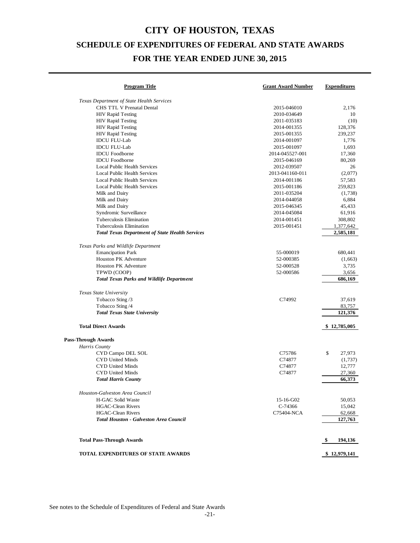| <b>Program Title</b>                                   | <b>Grant Award Number</b> | <b>Expenditures</b> |
|--------------------------------------------------------|---------------------------|---------------------|
| Texas Department of State Health Services              |                           |                     |
| CHS TTL V Prenatal Dental                              | 2015-046010               | 2,176               |
| <b>HIV Rapid Testing</b>                               | 2010-034649               | 10                  |
| <b>HIV Rapid Testing</b>                               | 2011-035183               | (10)                |
| <b>HIV Rapid Testing</b>                               | 2014-001355               | 128,376             |
| <b>HIV Rapid Testing</b>                               | 2015-001355               | 239,237             |
| <b>IDCU FLU-Lab</b>                                    | 2014-001097               | 1,776               |
| <b>IDCU FLU-Lab</b>                                    | 2015-001097               | 1,693               |
| <b>IDCU</b> Foodborne                                  | 2014-045527-001           | 17,360              |
| <b>IDCU</b> Foodborne                                  | 2015-046169               | 80,269              |
| <b>Local Public Health Services</b>                    | 2012-039507               | 26                  |
| Local Public Health Services                           | 2013-041160-011           | (2,077)             |
| Local Public Health Services                           | 2014-001186               | 57,583              |
| Local Public Health Services                           | 2015-001186               | 259,823             |
| Milk and Dairy                                         | 2011-035204               | (1,738)             |
| Milk and Dairy                                         | 2014-044058               | 6,884               |
| Milk and Dairy                                         | 2015-046345               | 45,433              |
| Syndromic Surveillance                                 | 2014-045084               | 61,916              |
| Tuberculosis Elimination                               | 2014-001451               | 308,802             |
| Tuberculosis Elimination                               | 2015-001451               | 1,377,642           |
| <b>Total Texas Department of State Health Services</b> |                           | 2,585,181           |
| Texas Parks and Wildlife Department                    |                           |                     |
| <b>Emancipation Park</b>                               | 55-000019                 | 680,441             |
| <b>Houston PK Adventure</b>                            | 52-000385                 | (1,663)             |
| <b>Houston PK Adventure</b>                            | 52-000528                 | 3,735               |
| TPWD (COOP)                                            | 52-000586                 | 3,656               |
| <b>Total Texas Parks and Wildlife Department</b>       |                           | 686,169             |
| Texas State University                                 |                           |                     |
| Tobacco Sting /3                                       | C74992                    | 37,619              |
| Tobacco Sting /4                                       |                           | 83,757              |
| <b>Total Texas State University</b>                    |                           | 121,376             |
| <b>Total Direct Awards</b>                             |                           | \$12,785,005        |
| <b>Pass-Through Awards</b>                             |                           |                     |
| Harris County                                          |                           |                     |
| CYD Campo DEL SOL                                      | C75786                    | \$<br>27,973        |
| CYD United Minds                                       | C74877                    | (1,737)             |
| CYD United Minds                                       | C74877                    | 12,777              |
| CYD United Minds                                       | C74877                    | 27,360              |
| <b>Total Harris County</b>                             |                           | 66,373              |
| Houston-Galveston Area Council                         |                           |                     |
| <b>H-GAC Solid Waste</b>                               | 15-16-G02                 | 50,053              |
| <b>HGAC-Clean Rivers</b>                               | C-74366                   | 15,042              |
| <b>HGAC-Clean Rivers</b>                               | C75404-NCA                | 62,668              |
| <b>Total Houston - Galveston Area Council</b>          |                           | 127,763             |
| <b>Total Pass-Through Awards</b>                       |                           | 194,136<br>\$       |
|                                                        |                           |                     |
| <b>TOTAL EXPENDITURES OF STATE AWARDS</b>              |                           | \$12,979,141        |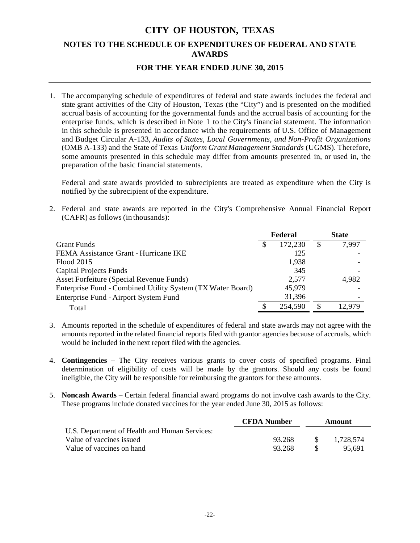# **CITY OF HOUSTON, TEXAS NOTES TO THE SCHEDULE OF EXPENDITURES OF FEDERAL AND STATE AWARDS**

### **FOR THE YEAR ENDED JUNE 30, 2015**

1. The accompanying schedule of expenditures of federal and state awards includes the federal and state grant activities of the City of Houston, Texas (the "City") and is presented on the modified accrual basis of accounting for the governmental funds and the accrual basis of accounting for the enterprise funds, which is described in Note 1 to the City's financial statement. The information in this schedule is presented in accordance with the requirements of U.S. Office of Management and Budget Circular A-133, *Audits of States, Local Governments, and Non-Profit Organizations* (OMB A-133) and the State of Texas *Uniform Grant Management Standards* (UGMS). Therefore, some amounts presented in this schedule may differ from amounts presented in, or used in, the preparation of the basic financial statements.

Federal and state awards provided to subrecipients are treated as expenditure when the City is notified by the subrecipient of the expenditure.

2. Federal and state awards are reported in the City's Comprehensive Annual Financial Report (CAFR) as follows (in thousands):

|                                                            |   | Federal | <b>State</b> |
|------------------------------------------------------------|---|---------|--------------|
| <b>Grant Funds</b>                                         |   | 172,230 | \$<br>7.997  |
| FEMA Assistance Grant - Hurricane IKE                      |   | 125     |              |
| Flood 2015                                                 |   | 1,938   |              |
| <b>Capital Projects Funds</b>                              |   | 345     |              |
| Asset Forfeiture (Special Revenue Funds)                   |   | 2,577   | 4,982        |
| Enterprise Fund - Combined Utility System (TX Water Board) |   | 45,979  |              |
| Enterprise Fund - Airport System Fund                      |   | 31,396  |              |
| Total                                                      | S | 254,590 | 12.979       |

- 3. Amounts reported in the schedule of expenditures of federal and state awards may not agree with the amounts reported in the related financial reports filed with grantor agencies because of accruals, which would be included in the next report filed with the agencies.
- 4. **Contingencies**  The City receives various grants to cover costs of specified programs. Final determination of eligibility of costs will be made by the grantors. Should any costs be found ineligible, the City will be responsible for reimbursing the grantors for these amounts.
- 5. **Noncash Awards** Certain federal financial award programs do not involve cash awards to the City. These programs include donated vaccines for the year ended June 30, 2015 as follows:

|                                               | <b>CFDA</b> Number | Amount        |           |
|-----------------------------------------------|--------------------|---------------|-----------|
| U.S. Department of Health and Human Services: |                    |               |           |
| Value of vaccines issued                      | 93.268             | $\mathcal{S}$ | 1.728.574 |
| Value of vaccines on hand                     | 93.268             |               | 95.691    |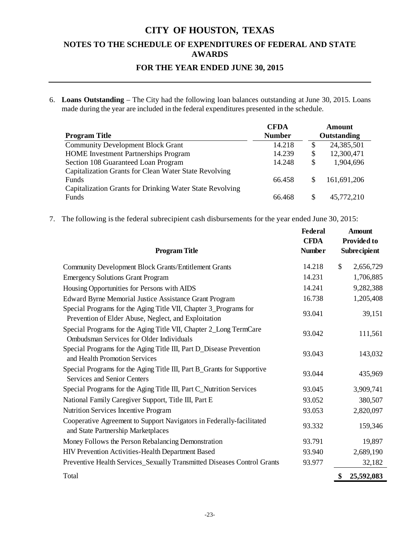### **NOTES TO THE SCHEDULE OF EXPENDITURES OF FEDERAL AND STATE AWARDS**

### **FOR THE YEAR ENDED JUNE 30, 2015**

6. **Loans Outstanding** – The City had the following loan balances outstanding at June 30, 2015. Loans made during the year are included in the federal expenditures presented in the schedule.

|                                                          | <b>CFDA</b>   |             | <b>Amount</b> |
|----------------------------------------------------------|---------------|-------------|---------------|
| <b>Program Title</b>                                     | <b>Number</b> | Outstanding |               |
| <b>Community Development Block Grant</b>                 | 14.218        | \$          | 24,385,501    |
| <b>HOME</b> Investment Partnerships Program              | 14.239        | \$          | 12,300,471    |
| Section 108 Guaranteed Loan Program                      | 14.248        | S           | 1,904,696     |
| Capitalization Grants for Clean Water State Revolving    |               |             |               |
| <b>Funds</b>                                             | 66.458        |             | 161,691,206   |
| Capitalization Grants for Drinking Water State Revolving |               |             |               |
| <b>Funds</b>                                             | 66.468        | S           | 45,772,210    |

7. The following isthe federal subrecipient cash disbursements for the year ended June 30, 2015:

| <b>Program Title</b>                                                                                                     | <b>Federal</b><br><b>CFDA</b><br><b>Number</b> | <b>Amount</b><br><b>Provided to</b><br>Subrecipient |
|--------------------------------------------------------------------------------------------------------------------------|------------------------------------------------|-----------------------------------------------------|
| Community Development Block Grants/Entitlement Grants                                                                    | 14.218                                         | \$<br>2,656,729                                     |
| <b>Emergency Solutions Grant Program</b>                                                                                 | 14.231                                         | 1,706,885                                           |
| Housing Opportunities for Persons with AIDS                                                                              | 14.241                                         | 9,282,388                                           |
| Edward Byrne Memorial Justice Assistance Grant Program                                                                   | 16.738                                         | 1,205,408                                           |
| Special Programs for the Aging Title VII, Chapter 3_Programs for<br>Prevention of Elder Abuse, Neglect, and Exploitation | 93.041                                         | 39,151                                              |
| Special Programs for the Aging Title VII, Chapter 2_Long TermCare<br><b>Ombudsman Services for Older Individuals</b>     | 93.042                                         | 111,561                                             |
| Special Programs for the Aging Title III, Part D_Disease Prevention<br>and Health Promotion Services                     | 93.043                                         | 143,032                                             |
| Special Programs for the Aging Title III, Part B_Grants for Supportive<br>Services and Senior Centers                    | 93.044                                         | 435,969                                             |
| Special Programs for the Aging Title III, Part C_Nutrition Services                                                      | 93.045                                         | 3,909,741                                           |
| National Family Caregiver Support, Title III, Part E                                                                     | 93.052                                         | 380,507                                             |
| Nutrition Services Incentive Program                                                                                     | 93.053                                         | 2,820,097                                           |
| Cooperative Agreement to Support Navigators in Federally-facilitated<br>and State Partnership Marketplaces               | 93.332                                         | 159,346                                             |
| Money Follows the Person Rebalancing Demonstration                                                                       | 93.791                                         | 19,897                                              |
| HIV Prevention Activities-Health Department Based                                                                        | 93.940                                         | 2,689,190                                           |
| Preventive Health Services_Sexually Transmitted Diseases Control Grants                                                  | 93.977                                         | 32,182                                              |
| Total                                                                                                                    |                                                | \$<br>25,592,083                                    |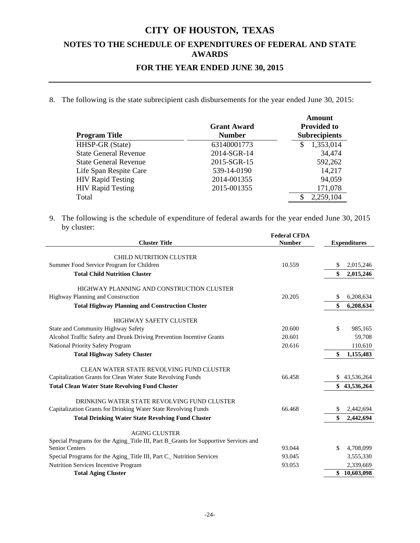### **NOTES TO THE SCHEDULE OF EXPENDITURES OF FEDERAL AND STATE AWARDS**

### **FOR THE YEAR ENDED JUNE 30, 2015**

8. The following is the state subrecipient cash disbursements for the year ended June 30, 2015:

|                              |                    | Amount               |
|------------------------------|--------------------|----------------------|
|                              | <b>Grant Award</b> | <b>Provided to</b>   |
| <b>Program Title</b>         | <b>Number</b>      | <b>Subrecipients</b> |
| HHSP-GR (State)              | 63140001773        | 1,353,014<br>S       |
| <b>State General Revenue</b> | 2014-SGR-14        | 34,474               |
| <b>State General Revenue</b> | 2015-SGR-15        | 592,262              |
| Life Span Respite Care       | 539-14-0190        | 14,217               |
| <b>HIV Rapid Testing</b>     | 2014-001355        | 94,059               |
| <b>HIV Rapid Testing</b>     | 2015-001355        | 171,078              |
| Total                        |                    | 2,259,104            |

9. The following is the schedule of expenditure of federal awards for the year ended June 30, 2015 by cluster:

| <b>Cluster Title</b>                                                                | <b>Federal CFDA</b><br><b>Number</b> |    | <b>Expenditures</b> |
|-------------------------------------------------------------------------------------|--------------------------------------|----|---------------------|
| <b>CHILD NUTRITION CLUSTER</b>                                                      |                                      |    |                     |
| Summer Food Service Program for Children                                            | 10.559                               | \$ | 2,015,246           |
| <b>Total Child Nutrition Cluster</b>                                                |                                      | \$ | 2,015,246           |
| HIGHWAY PLANNING AND CONSTRUCTION CLUSTER                                           |                                      |    |                     |
| Highway Planning and Construction                                                   | 20.205                               | \$ | 6,208,634           |
| <b>Total Highway Planning and Construction Cluster</b>                              |                                      | \$ | 6,208,634           |
| <b>HIGHWAY SAFETY CLUSTER</b>                                                       |                                      |    |                     |
| State and Community Highway Safety                                                  | 20.600                               | \$ | 985,165             |
| Alcohol Traffic Safety and Drunk Driving Prevention Incentive Grants                | 20.601                               |    | 59,708              |
| National Priority Safety Program                                                    | 20.616                               |    | 110,610             |
| <b>Total Highway Safety Cluster</b>                                                 |                                      | \$ | 1,155,483           |
| CLEAN WATER STATE REVOLVING FUND CLUSTER                                            |                                      |    |                     |
| Capitalization Grants for Clean Water State Revolving Funds                         | 66.458                               | S. | 43,536,264          |
| <b>Total Clean Water State Revolving Fund Cluster</b>                               |                                      | \$ | 43,536,264          |
| DRINKING WATER STATE REVOLVING FUND CLUSTER                                         |                                      |    |                     |
| Capitalization Grants for Drinking Water State Revolving Funds                      | 66.468                               | \$ | 2,442,694           |
| <b>Total Drinking Water State Revolving Fund Cluster</b>                            |                                      | \$ | 2,442,694           |
| <b>AGING CLUSTER</b>                                                                |                                      |    |                     |
| Special Programs for the Aging_Title III, Part B_Grants for Supportive Services and |                                      |    |                     |
| <b>Senior Centers</b>                                                               | 93.044                               | \$ | 4,708,099           |
| Special Programs for the Aging_Title III, Part C_ Nutrition Services                | 93.045                               |    | 3,555,330           |
| Nutrition Services Incentive Program                                                | 93.053                               |    | 2,339,669           |
| <b>Total Aging Cluster</b>                                                          |                                      |    | \$10,603,098        |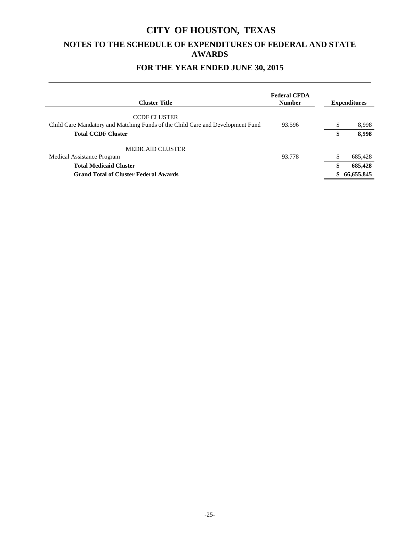### **NOTES TO THE SCHEDULE OF EXPENDITURES OF FEDERAL AND STATE AWARDS**

### **FOR THE YEAR ENDED JUNE 30, 2015**

| <b>Cluster Title</b>                                                           | <b>Federal CFDA</b><br><b>Number</b> | <b>Expenditures</b> |
|--------------------------------------------------------------------------------|--------------------------------------|---------------------|
| <b>CCDF CLUSTER</b>                                                            |                                      |                     |
| Child Care Mandatory and Matching Funds of the Child Care and Development Fund | 93.596                               | \$<br>8,998         |
| <b>Total CCDF Cluster</b>                                                      |                                      | 8,998               |
| <b>MEDICAID CLUSTER</b>                                                        |                                      |                     |
| Medical Assistance Program                                                     | 93.778                               | \$<br>685,428       |
| <b>Total Medicaid Cluster</b>                                                  |                                      | 685,428             |
| <b>Grand Total of Cluster Federal Awards</b>                                   |                                      | 66,655,845          |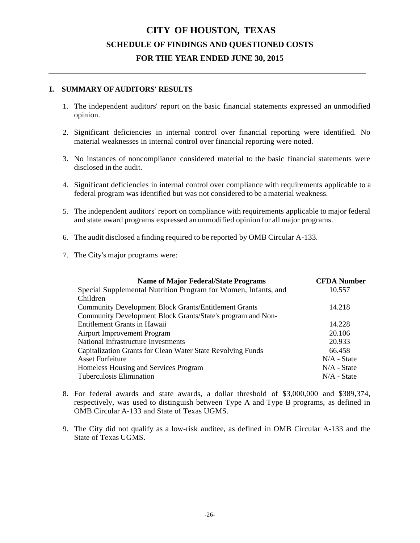### **I. SUMMARY OF AUDITORS' RESULTS**

- 1. The independent auditors' report on the basic financial statements expressed an unmodified opinion.
- 2. Significant deficiencies in internal control over financial reporting were identified. No material weaknesses in internal control over financial reporting were noted.
- 3. No instances of noncompliance considered material to the basic financial statements were disclosed in the audit.
- 4. Significant deficiencies in internal control over compliance with requirements applicable to a federal program was identified but was not considered to be a material weakness.
- 5. The independent auditors' report on compliance with requirements applicable to major federal and state award programs expressed an unmodified opinion for all major programs.
- 6. The audit disclosed a finding required to be reported by OMB Circular A-133.
- 7. The City's major programs were:

| <b>Name of Major Federal/State Programs</b>                    | <b>CFDA Number</b> |
|----------------------------------------------------------------|--------------------|
| Special Supplemental Nutrition Program for Women, Infants, and | 10.557             |
| Children                                                       |                    |
| <b>Community Development Block Grants/Entitlement Grants</b>   | 14.218             |
| Community Development Block Grants/State's program and Non-    |                    |
| Entitlement Grants in Hawaii                                   | 14.228             |
| Airport Improvement Program                                    | 20.106             |
| National Infrastructure Investments                            | 20.933             |
| Capitalization Grants for Clean Water State Revolving Funds    | 66.458             |
| <b>Asset Forfeiture</b>                                        | $N/A$ - State      |
| Homeless Housing and Services Program                          | $N/A$ - State      |
| Tuberculosis Elimination                                       | $N/A$ - State      |
|                                                                |                    |

- 8. For federal awards and state awards, a dollar threshold of \$3,000,000 and \$389,374, respectively, was used to distinguish between Type A and Type B programs, as defined in OMB Circular A-133 and State of Texas UGMS.
- 9. The City did not qualify as a low-risk auditee, as defined in OMB Circular A-133 and the State of Texas UGMS.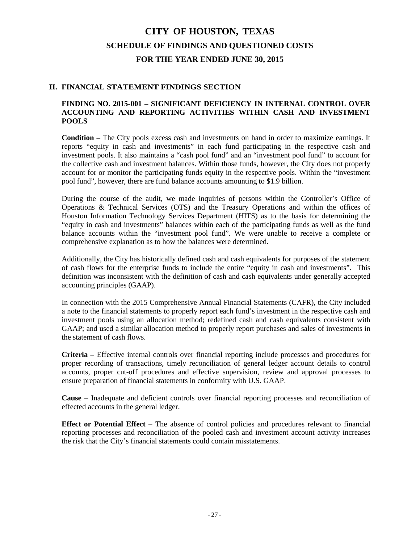### **II. FINANCIAL STATEMENT FINDINGS SECTION**

#### **FINDING NO. 2015-001 – SIGNIFICANT DEFICIENCY IN INTERNAL CONTROL OVER ACCOUNTING AND REPORTING ACTIVITIES WITHIN CASH AND INVESTMENT POOLS**

**Condition** – The City pools excess cash and investments on hand in order to maximize earnings. It reports "equity in cash and investments" in each fund participating in the respective cash and investment pools. It also maintains a "cash pool fund" and an "investment pool fund" to account for the collective cash and investment balances. Within those funds, however, the City does not properly account for or monitor the participating funds equity in the respective pools. Within the "investment pool fund", however, there are fund balance accounts amounting to \$1.9 billion.

During the course of the audit, we made inquiries of persons within the Controller's Office of Operations & Technical Services (OTS) and the Treasury Operations and within the offices of Houston Information Technology Services Department (HITS) as to the basis for determining the "equity in cash and investments" balances within each of the participating funds as well as the fund balance accounts within the "investment pool fund". We were unable to receive a complete or comprehensive explanation as to how the balances were determined.

Additionally, the City has historically defined cash and cash equivalents for purposes of the statement of cash flows for the enterprise funds to include the entire "equity in cash and investments". This definition was inconsistent with the definition of cash and cash equivalents under generally accepted accounting principles (GAAP).

In connection with the 2015 Comprehensive Annual Financial Statements (CAFR), the City included a note to the financial statements to properly report each fund's investment in the respective cash and investment pools using an allocation method; redefined cash and cash equivalents consistent with GAAP; and used a similar allocation method to properly report purchases and sales of investments in the statement of cash flows.

**Criteria –** Effective internal controls over financial reporting include processes and procedures for proper recording of transactions, timely reconciliation of general ledger account details to control accounts, proper cut-off procedures and effective supervision, review and approval processes to ensure preparation of financial statements in conformity with U.S. GAAP.

**Cause** – Inadequate and deficient controls over financial reporting processes and reconciliation of effected accounts in the general ledger.

**Effect or Potential Effect** – The absence of control policies and procedures relevant to financial reporting processes and reconciliation of the pooled cash and investment account activity increases the risk that the City's financial statements could contain misstatements.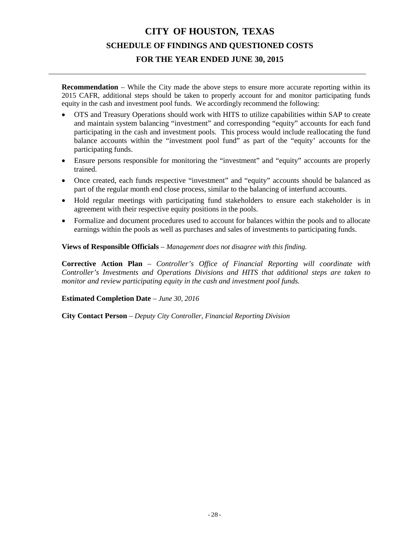**Recommendation** – While the City made the above steps to ensure more accurate reporting within its 2015 CAFR, additional steps should be taken to properly account for and monitor participating funds equity in the cash and investment pool funds. We accordingly recommend the following:

- OTS and Treasury Operations should work with HITS to utilize capabilities within SAP to create and maintain system balancing "investment" and corresponding "equity" accounts for each fund participating in the cash and investment pools. This process would include reallocating the fund balance accounts within the "investment pool fund" as part of the "equity' accounts for the participating funds.
- Ensure persons responsible for monitoring the "investment" and "equity" accounts are properly trained.
- Once created, each funds respective "investment" and "equity" accounts should be balanced as part of the regular month end close process, similar to the balancing of interfund accounts.
- Hold regular meetings with participating fund stakeholders to ensure each stakeholder is in agreement with their respective equity positions in the pools.
- Formalize and document procedures used to account for balances within the pools and to allocate earnings within the pools as well as purchases and sales of investments to participating funds.

**Views of Responsible Officials** – *Management does not disagree with this finding.*

**Corrective Action Plan** – *Controller's Office of Financial Reporting will coordinate with Controller's Investments and Operations Divisions and HITS that additional steps are taken to monitor and review participating equity in the cash and investment pool funds.*

### **Estimated Completion Date** – *June 30, 2016*

**City Contact Person** – *Deputy City Controller, Financial Reporting Division*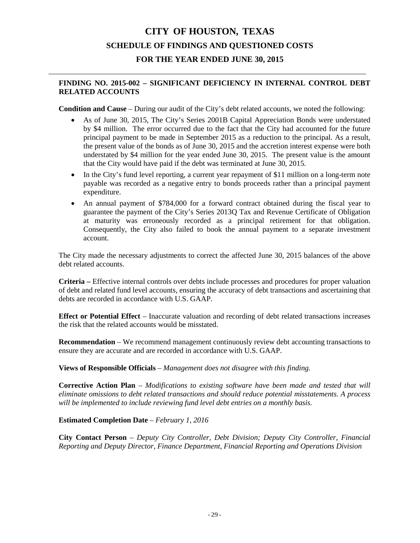### **FINDING NO. 2015-002 – SIGNIFICANT DEFICIENCY IN INTERNAL CONTROL DEBT RELATED ACCOUNTS**

**Condition and Cause** – During our audit of the City's debt related accounts, we noted the following:

- As of June 30, 2015, The City's Series 2001B Capital Appreciation Bonds were understated by \$4 million. The error occurred due to the fact that the City had accounted for the future principal payment to be made in September 2015 as a reduction to the principal. As a result, the present value of the bonds as of June 30, 2015 and the accretion interest expense were both understated by \$4 million for the year ended June 30, 2015. The present value is the amount that the City would have paid if the debt was terminated at June 30, 2015.
- In the City's fund level reporting, a current year repayment of \$11 million on a long-term note payable was recorded as a negative entry to bonds proceeds rather than a principal payment expenditure.
- An annual payment of \$784,000 for a forward contract obtained during the fiscal year to guarantee the payment of the City's Series 2013Q Tax and Revenue Certificate of Obligation at maturity was erroneously recorded as a principal retirement for that obligation. Consequently, the City also failed to book the annual payment to a separate investment account.

The City made the necessary adjustments to correct the affected June 30, 2015 balances of the above debt related accounts.

**Criteria –** Effective internal controls over debts include processes and procedures for proper valuation of debt and related fund level accounts, ensuring the accuracy of debt transactions and ascertaining that debts are recorded in accordance with U.S. GAAP.

**Effect or Potential Effect** – Inaccurate valuation and recording of debt related transactions increases the risk that the related accounts would be misstated.

**Recommendation** – We recommend management continuously review debt accounting transactions to ensure they are accurate and are recorded in accordance with U.S. GAAP.

**Views of Responsible Officials** – *Management does not disagree with this finding.*

**Corrective Action Plan** – *Modifications to existing software have been made and tested that will eliminate omissions to debt related transactions and should reduce potential misstatements. A process will be implemented to include reviewing fund level debt entries on a monthly basis.*

**Estimated Completion Date** – *February 1, 2016*

**City Contact Person** – *Deputy City Controller, Debt Division; Deputy City Controller, Financial Reporting and Deputy Director, Finance Department, Financial Reporting and Operations Division*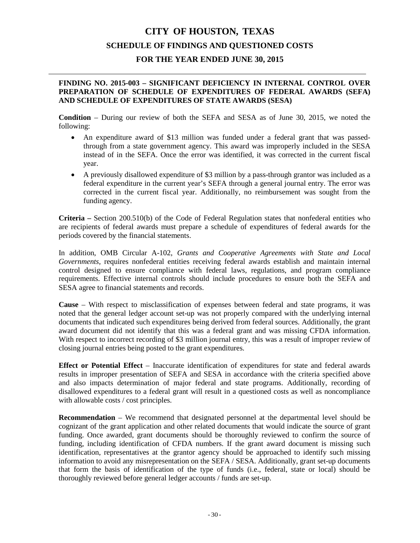### **FINDING NO. 2015-003 – SIGNIFICANT DEFICIENCY IN INTERNAL CONTROL OVER PREPARATION OF SCHEDULE OF EXPENDITURES OF FEDERAL AWARDS (SEFA) AND SCHEDULE OF EXPENDITURES OF STATE AWARDS (SESA)**

**Condition** – During our review of both the SEFA and SESA as of June 30, 2015, we noted the following:

- An expenditure award of \$13 million was funded under a federal grant that was passedthrough from a state government agency. This award was improperly included in the SESA instead of in the SEFA. Once the error was identified, it was corrected in the current fiscal year.
- A previously disallowed expenditure of \$3 million by a pass-through grantor was included as a federal expenditure in the current year's SEFA through a general journal entry. The error was corrected in the current fiscal year. Additionally, no reimbursement was sought from the funding agency.

**Criteria –** Section 200.510(b) of the Code of Federal Regulation states that nonfederal entities who are recipients of federal awards must prepare a schedule of expenditures of federal awards for the periods covered by the financial statements.

In addition, OMB Circular A-102, *Grants and Cooperative Agreements with State and Local Governments*, requires nonfederal entities receiving federal awards establish and maintain internal control designed to ensure compliance with federal laws, regulations, and program compliance requirements. Effective internal controls should include procedures to ensure both the SEFA and SESA agree to financial statements and records.

**Cause** – With respect to misclassification of expenses between federal and state programs, it was noted that the general ledger account set-up was not properly compared with the underlying internal documents that indicated such expenditures being derived from federal sources. Additionally, the grant award document did not identify that this was a federal grant and was missing CFDA information. With respect to incorrect recording of \$3 million journal entry, this was a result of improper review of closing journal entries being posted to the grant expenditures.

**Effect or Potential Effect** – Inaccurate identification of expenditures for state and federal awards results in improper presentation of SEFA and SESA in accordance with the criteria specified above and also impacts determination of major federal and state programs. Additionally, recording of disallowed expenditures to a federal grant will result in a questioned costs as well as noncompliance with allowable costs / cost principles.

**Recommendation** – We recommend that designated personnel at the departmental level should be cognizant of the grant application and other related documents that would indicate the source of grant funding. Once awarded, grant documents should be thoroughly reviewed to confirm the source of funding, including identification of CFDA numbers. If the grant award document is missing such identification, representatives at the grantor agency should be approached to identify such missing information to avoid any misrepresentation on the SEFA / SESA. Additionally, grant set-up documents that form the basis of identification of the type of funds (i.e., federal, state or local) should be thoroughly reviewed before general ledger accounts / funds are set-up.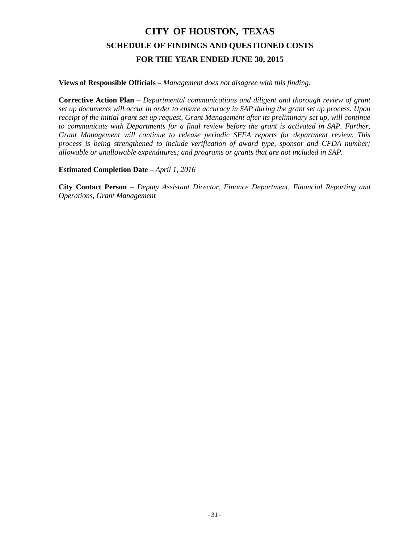**Views of Responsible Officials** – *Management does not disagree with this finding.*

**Corrective Action Plan** – *Departmental communications and diligent and thorough review of grant set up documents will occur in order to ensure accuracy in SAP during the grant set up process. Upon receipt of the initial grant set up request, Grant Management after its preliminary set up, will continue to communicate with Departments for a final review before the grant is activated in SAP. Further, Grant Management will continue to release periodic SEFA reports for department review. This process is being strengthened to include verification of award type, sponsor and CFDA number; allowable or unallowable expenditures; and programs or grants that are not included in SAP.*

**Estimated Completion Date** – *April 1, 2016*

**City Contact Person** – *Deputy Assistant Director, Finance Department, Financial Reporting and Operations, Grant Management*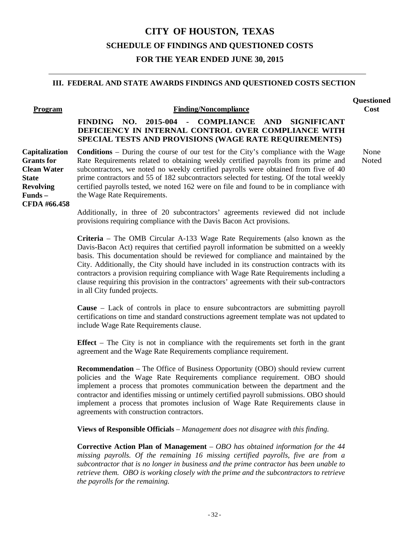### **III. FEDERAL AND STATE AWARDS FINDINGS AND QUESTIONED COSTS SECTION**

| Program            | <b>Finding/Noncompliance</b>                                                                                                                                                   |
|--------------------|--------------------------------------------------------------------------------------------------------------------------------------------------------------------------------|
|                    | - COMPLIANCE AND SIGNIFICANT<br>2015-004<br>FINDING NO.<br>DEFICIENCY IN INTERNAL CONTROL OVER COMPLIANCE WITH<br><b>SPECIAL TESTS AND PROVISIONS (WAGE RATE REQUIREMENTS)</b> |
| Capitalization     | <b>Conditions</b> – During the course of our test for the City's compliance with the Wage                                                                                      |
| <b>Grants</b> for  | Rate Requirements related to obtaining weekly certified payrolls from its prime and                                                                                            |
| <b>Clean Water</b> | subcontractors, we noted no weekly certified payrolls were obtained from five of 40                                                                                            |
| <b>State</b>       | prime contractors and 55 of 182 subcontractors selected for testing. Of the total weekly                                                                                       |
| <b>Revolving</b>   | certified payrolls tested, we noted 162 were on file and found to be in compliance with                                                                                        |
| $Funds -$          | the Wage Rate Requirements.                                                                                                                                                    |

**CFDA #66.458**

**Cost**

None Noted

**Questioned** 

Additionally, in three of 20 subcontractors' agreements reviewed did not include provisions requiring compliance with the Davis Bacon Act provisions.

**Criteria** – The OMB Circular A-133 Wage Rate Requirements (also known as the Davis-Bacon Act) requires that certified payroll information be submitted on a weekly basis. This documentation should be reviewed for compliance and maintained by the City. Additionally, the City should have included in its construction contracts with its contractors a provision requiring compliance with Wage Rate Requirements including a clause requiring this provision in the contractors' agreements with their sub-contractors in all City funded projects.

**Cause** – Lack of controls in place to ensure subcontractors are submitting payroll certifications on time and standard constructions agreement template was not updated to include Wage Rate Requirements clause.

**Effect** – The City is not in compliance with the requirements set forth in the grant agreement and the Wage Rate Requirements compliance requirement.

**Recommendation** – The Office of Business Opportunity (OBO) should review current policies and the Wage Rate Requirements compliance requirement. OBO should implement a process that promotes communication between the department and the contractor and identifies missing or untimely certified payroll submissions. OBO should implement a process that promotes inclusion of Wage Rate Requirements clause in agreements with construction contractors.

**Views of Responsible Officials** – *Management does not disagree with this finding.*

**Corrective Action Plan of Management** – *OBO has obtained information for the 44 missing payrolls. Of the remaining 16 missing certified payrolls, five are from a subcontractor that is no longer in business and the prime contractor has been unable to retrieve them. OBO is working closely with the prime and the subcontractors to retrieve the payrolls for the remaining.*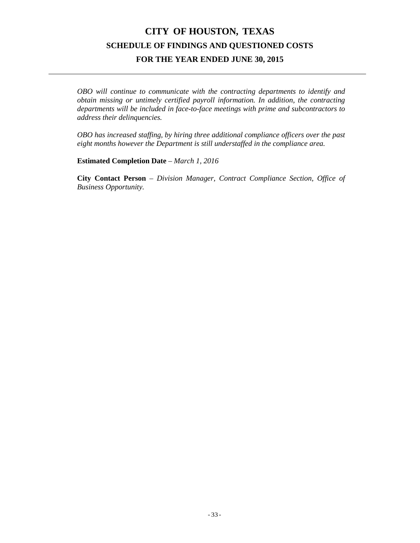*OBO will continue to communicate with the contracting departments to identify and obtain missing or untimely certified payroll information. In addition, the contracting departments will be included in face-to-face meetings with prime and subcontractors to address their delinquencies.*

*OBO has increased staffing, by hiring three additional compliance officers over the past eight months however the Department is still understaffed in the compliance area.*

**Estimated Completion Date** – *March 1, 2016*

**City Contact Person** – *Division Manager, Contract Compliance Section, Office of Business Opportunity.*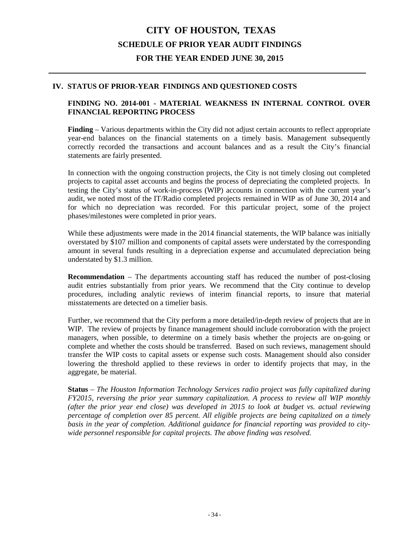# **CITY OF HOUSTON, TEXAS SCHEDULE OF PRIOR YEAR AUDIT FINDINGS FOR THE YEAR ENDED JUNE 30, 2015**

#### **IV. STATUS OF PRIOR-YEAR FINDINGS AND QUESTIONED COSTS**

### **FINDING NO. 2014-001 - MATERIAL WEAKNESS IN INTERNAL CONTROL OVER FINANCIAL REPORTING PROCESS**

**Finding** – Various departments within the City did not adjust certain accounts to reflect appropriate year-end balances on the financial statements on a timely basis. Management subsequently correctly recorded the transactions and account balances and as a result the City's financial statements are fairly presented.

In connection with the ongoing construction projects, the City is not timely closing out completed projects to capital asset accounts and begins the process of depreciating the completed projects. In testing the City's status of work-in-process (WIP) accounts in connection with the current year's audit, we noted most of the IT/Radio completed projects remained in WIP as of June 30, 2014 and for which no depreciation was recorded. For this particular project, some of the project phases/milestones were completed in prior years.

While these adjustments were made in the 2014 financial statements, the WIP balance was initially overstated by \$107 million and components of capital assets were understated by the corresponding amount in several funds resulting in a depreciation expense and accumulated depreciation being understated by \$1.3 million.

**Recommendation** – The departments accounting staff has reduced the number of post-closing audit entries substantially from prior years. We recommend that the City continue to develop procedures, including analytic reviews of interim financial reports, to insure that material misstatements are detected on a timelier basis.

Further, we recommend that the City perform a more detailed/in-depth review of projects that are in WIP. The review of projects by finance management should include corroboration with the project managers, when possible, to determine on a timely basis whether the projects are on-going or complete and whether the costs should be transferred. Based on such reviews, management should transfer the WIP costs to capital assets or expense such costs. Management should also consider lowering the threshold applied to these reviews in order to identify projects that may, in the aggregate, be material.

**Status** – *The Houston Information Technology Services radio project was fully capitalized during FY2015, reversing the prior year summary capitalization. A process to review all WIP monthly (after the prior year end close) was developed in 2015 to look at budget vs. actual reviewing percentage of completion over 85 percent. All eligible projects are being capitalized on a timely basis in the year of completion. Additional guidance for financial reporting was provided to citywide personnel responsible for capital projects. The above finding was resolved.*